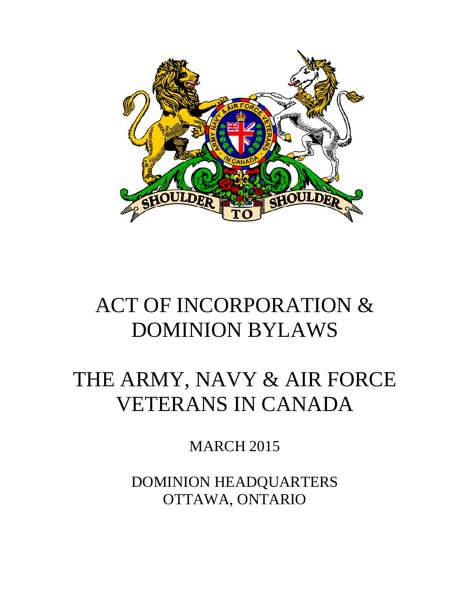

# ACT OF INCORPORATION & DOMINION BYLAWS

# THE ARMY, NAVY & AIR FORCE VETERANS IN CANADA

MARCH 2015

DOMINION HEADQUARTERS OTTAWA, ONTARIO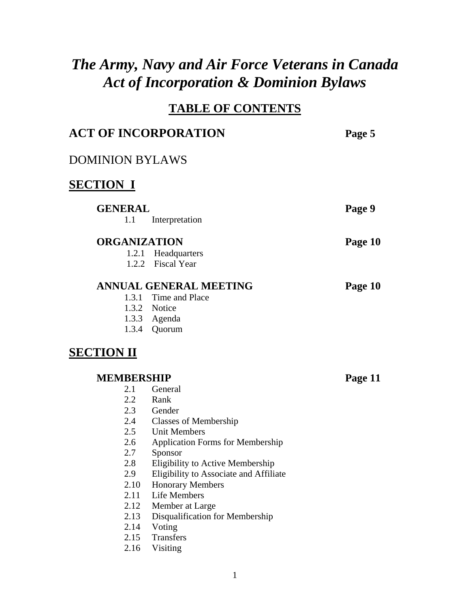# *The Army, Navy and Air Force Veterans in Canada Act of Incorporation & Dominion Bylaws*

# **TABLE OF CONTENTS**

| <b>ACT OF INCORPORATION</b>                                                                                                                                   |                                                                                                                                                                                                                                                                                                                                                                 | Page 5  |
|---------------------------------------------------------------------------------------------------------------------------------------------------------------|-----------------------------------------------------------------------------------------------------------------------------------------------------------------------------------------------------------------------------------------------------------------------------------------------------------------------------------------------------------------|---------|
| <b>DOMINION BYLAWS</b>                                                                                                                                        |                                                                                                                                                                                                                                                                                                                                                                 |         |
| <b>SECTION I</b>                                                                                                                                              |                                                                                                                                                                                                                                                                                                                                                                 |         |
| <b>GENERAL</b><br>1.1                                                                                                                                         | Interpretation                                                                                                                                                                                                                                                                                                                                                  | Page 9  |
| <b>ORGANIZATION</b>                                                                                                                                           | 1.2.1 Headquarters<br>1.2.2 Fiscal Year                                                                                                                                                                                                                                                                                                                         | Page 10 |
|                                                                                                                                                               | <b>ANNUAL GENERAL MEETING</b><br>1.3.1 Time and Place<br>1.3.2 Notice<br>1.3.3 Agenda<br>1.3.4 Quorum                                                                                                                                                                                                                                                           | Page 10 |
| <b>SECTION II</b><br><b>MEMBERSHIP</b><br>2.1<br>2.2<br>2.3<br>2.4<br>2.5<br>2.6<br>2.7<br>2.8<br>2.9<br>2.10<br>2.11<br>2.12<br>2.13<br>2.14<br>2.15<br>2.16 | General<br>Rank<br>Gender<br><b>Classes of Membership</b><br><b>Unit Members</b><br><b>Application Forms for Membership</b><br>Sponsor<br>Eligibility to Active Membership<br>Eligibility to Associate and Affiliate<br><b>Honorary Members</b><br><b>Life Members</b><br>Member at Large<br>Disqualification for Membership<br>Voting<br>Transfers<br>Visiting | Page 11 |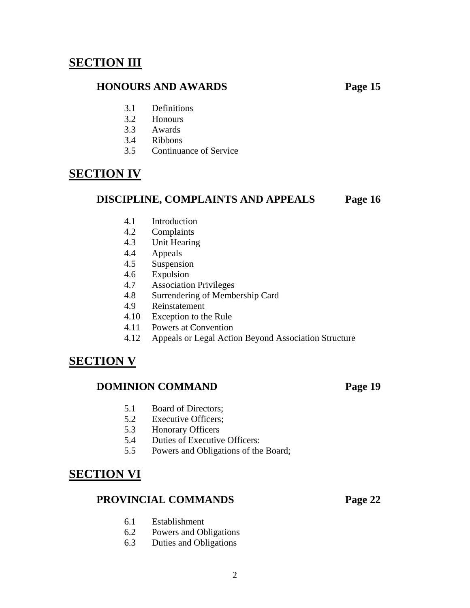# **SECTION III**

#### **HONOURS AND AWARDS Page 15**

- 3.1 Definitions
- 3.2 Honours
- 3.3 Awards
- 3.4 Ribbons
- 3.5 Continuance of Service

# **SECTION IV**

#### **DISCIPLINE, COMPLAINTS AND APPEALS Page 16**

- 4.1 Introduction
- 4.2 Complaints
- 4.3 Unit Hearing
- 4.4 Appeals
- 4.5 Suspension
- 4.6 Expulsion
- 4.7 Association Privileges
- 4.8 Surrendering of Membership Card
- 4.9 Reinstatement
- 4.10 Exception to the Rule
- 4.11 Powers at Convention
- 4.12 Appeals or Legal Action Beyond Association Structure

# **SECTION V**

#### **DOMINION COMMAND Page 19**

- 5.1 Board of Directors;
- 5.2 Executive Officers;
- 5.3 Honorary Officers
- 5.4 Duties of Executive Officers:
- 5.5 Powers and Obligations of the Board;

# **SECTION VI**

#### **PROVINCIAL COMMANDS** Page 22

- 6.1 Establishment
- 6.2 Powers and Obligations
- 6.3 Duties and Obligations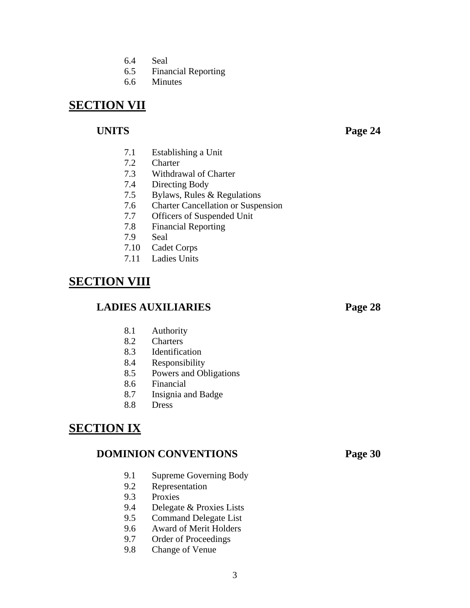- 6.4 Seal
- 6.5 Financial Reporting
- 6.6 Minutes

# **SECTION VII**

#### **UNITS Page 24**

- 7.1 Establishing a Unit
- 7.2 Charter
- 7.3 Withdrawal of Charter
- 7.4 Directing Body
- 7.5 Bylaws, Rules & Regulations
- 7.6 Charter Cancellation or Suspension
- 7.7 Officers of Suspended Unit
- 7.8 Financial Reporting<br>7.9 Seal
- Seal
- 7.10 Cadet Corps
- 7.11 Ladies Units

# **SECTION VIII**

### **LADIES AUXILIARIES Page 28**

#### 8.1 Authority

- 8.2 Charters
- 8.3 Identification
- 8.4 Responsibility
- 8.5 Powers and Obligations
- 8.6 Financial
- 8.7 Insignia and Badge
- 8.8 Dress

# **SECTION IX**

#### **DOMINION CONVENTIONS Page 30**

- 9.1 Supreme Governing Body
- 9.2 Representation
- 9.3 Proxies
- 9.4 Delegate & Proxies Lists
- 9.5 Command Delegate List
- 9.6 Award of Merit Holders
- 9.7 Order of Proceedings
- 9.8 Change of Venue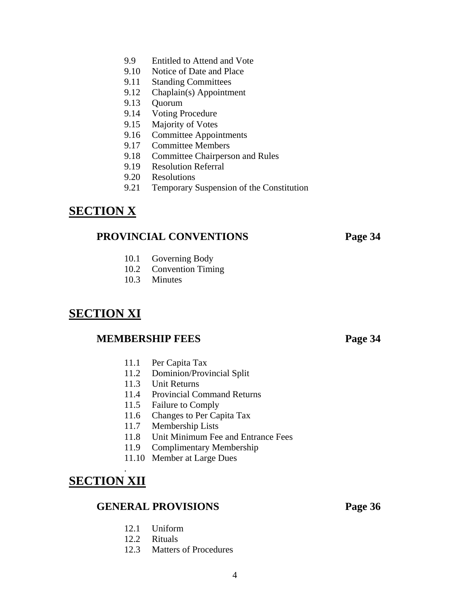- 9.9 Entitled to Attend and Vote
- 9.10 Notice of Date and Place
- 9.11 Standing Committees
- 9.12 Chaplain(s) Appointment
- 9.13 Quorum
- 9.14 Voting Procedure
- 9.15 Majority of Votes
- 9.16 Committee Appointments
- 9.17 Committee Members
- 9.18 Committee Chairperson and Rules
- 9.19 Resolution Referral
- 9.20 Resolutions
- 9.21 Temporary Suspension of the Constitution

# **SECTION X**

#### **PROVINCIAL CONVENTIONS Page 34**

- 10.1 Governing Body
- 10.2 Convention Timing
- 10.3 Minutes

# **SECTION XI**

#### **MEMBERSHIP FEES** Page 34

- 11.1 Per Capita Tax
- 11.2 Dominion/Provincial Split
- 11.3 Unit Returns
- 11.4 Provincial Command Returns
- 11.5 Failure to Comply
- 11.6 Changes to Per Capita Tax
- 11.7 Membership Lists
- 11.8 Unit Minimum Fee and Entrance Fees
- 11.9 Complimentary Membership
- 11.10 Member at Large Dues

# **SECTION XII**

.

#### **GENERAL PROVISIONS Page 36**

- 12.1 Uniform
- 12.2 Rituals
- 12.3 Matters of Procedures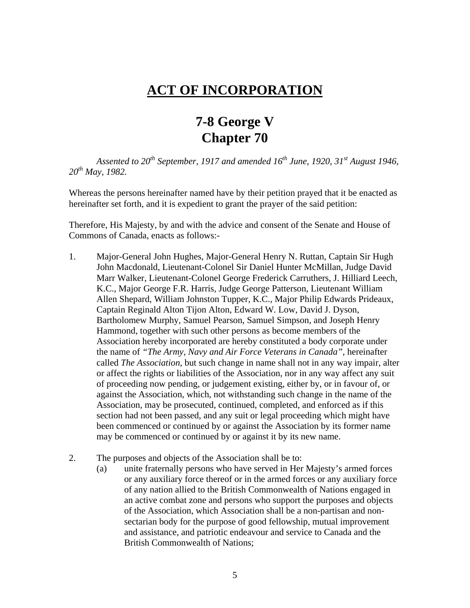# **ACT OF INCORPORATION**

# **7-8 George V Chapter 70**

*Assented to 20th September, 1917 and amended 16th June, 1920, 31st August 1946, 20th May, 1982.* 

Whereas the persons hereinafter named have by their petition prayed that it be enacted as hereinafter set forth, and it is expedient to grant the prayer of the said petition:

Therefore, His Majesty, by and with the advice and consent of the Senate and House of Commons of Canada, enacts as follows:-

- 1. Major-General John Hughes, Major-General Henry N. Ruttan, Captain Sir Hugh John Macdonald, Lieutenant-Colonel Sir Daniel Hunter McMillan, Judge David Marr Walker, Lieutenant-Colonel George Frederick Carruthers, J. Hilliard Leech, K.C., Major George F.R. Harris, Judge George Patterson, Lieutenant William Allen Shepard, William Johnston Tupper, K.C., Major Philip Edwards Prideaux, Captain Reginald Alton Tijon Alton, Edward W. Low, David J. Dyson, Bartholomew Murphy, Samuel Pearson, Samuel Simpson, and Joseph Henry Hammond, together with such other persons as become members of the Association hereby incorporated are hereby constituted a body corporate under the name of *"The Army, Navy and Air Force Veterans in Canada"*, hereinafter called *The Association*, but such change in name shall not in any way impair, alter or affect the rights or liabilities of the Association, nor in any way affect any suit of proceeding now pending, or judgement existing, either by, or in favour of, or against the Association, which, not withstanding such change in the name of the Association, may be prosecuted, continued, completed, and enforced as if this section had not been passed, and any suit or legal proceeding which might have been commenced or continued by or against the Association by its former name may be commenced or continued by or against it by its new name.
- 2. The purposes and objects of the Association shall be to:
	- (a) unite fraternally persons who have served in Her Majesty's armed forces or any auxiliary force thereof or in the armed forces or any auxiliary force of any nation allied to the British Commonwealth of Nations engaged in an active combat zone and persons who support the purposes and objects of the Association, which Association shall be a non-partisan and nonsectarian body for the purpose of good fellowship, mutual improvement and assistance, and patriotic endeavour and service to Canada and the British Commonwealth of Nations;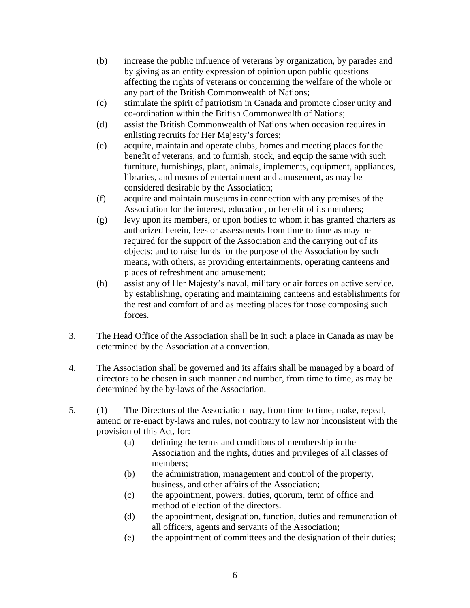- (b) increase the public influence of veterans by organization, by parades and by giving as an entity expression of opinion upon public questions affecting the rights of veterans or concerning the welfare of the whole or any part of the British Commonwealth of Nations;
- (c) stimulate the spirit of patriotism in Canada and promote closer unity and co-ordination within the British Commonwealth of Nations;
- (d) assist the British Commonwealth of Nations when occasion requires in enlisting recruits for Her Majesty's forces;
- (e) acquire, maintain and operate clubs, homes and meeting places for the benefit of veterans, and to furnish, stock, and equip the same with such furniture, furnishings, plant, animals, implements, equipment, appliances, libraries, and means of entertainment and amusement, as may be considered desirable by the Association;
- (f) acquire and maintain museums in connection with any premises of the Association for the interest, education, or benefit of its members;
- (g) levy upon its members, or upon bodies to whom it has granted charters as authorized herein, fees or assessments from time to time as may be required for the support of the Association and the carrying out of its objects; and to raise funds for the purpose of the Association by such means, with others, as providing entertainments, operating canteens and places of refreshment and amusement;
- (h) assist any of Her Majesty's naval, military or air forces on active service, by establishing, operating and maintaining canteens and establishments for the rest and comfort of and as meeting places for those composing such forces.
- 3. The Head Office of the Association shall be in such a place in Canada as may be determined by the Association at a convention.
- 4. The Association shall be governed and its affairs shall be managed by a board of directors to be chosen in such manner and number, from time to time, as may be determined by the by-laws of the Association.
- 5. (1) The Directors of the Association may, from time to time, make, repeal, amend or re-enact by-laws and rules, not contrary to law nor inconsistent with the provision of this Act, for:
	- (a) defining the terms and conditions of membership in the Association and the rights, duties and privileges of all classes of members;
	- (b) the administration, management and control of the property, business, and other affairs of the Association;
	- (c) the appointment, powers, duties, quorum, term of office and method of election of the directors.
	- (d) the appointment, designation, function, duties and remuneration of all officers, agents and servants of the Association;
	- (e) the appointment of committees and the designation of their duties;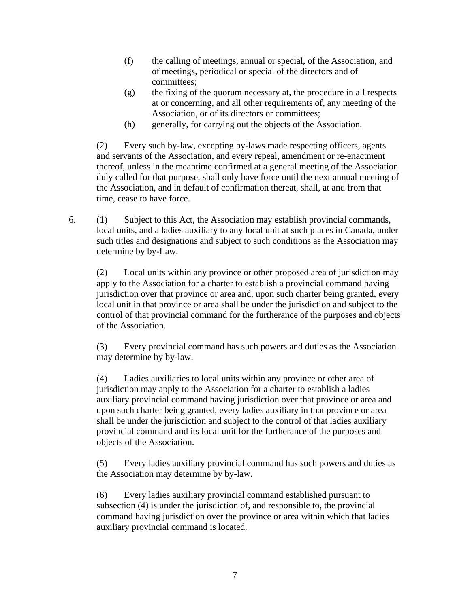- (f) the calling of meetings, annual or special, of the Association, and of meetings, periodical or special of the directors and of committees;
- (g) the fixing of the quorum necessary at, the procedure in all respects at or concerning, and all other requirements of, any meeting of the Association, or of its directors or committees;
- (h) generally, for carrying out the objects of the Association.

(2) Every such by-law, excepting by-laws made respecting officers, agents and servants of the Association, and every repeal, amendment or re-enactment thereof, unless in the meantime confirmed at a general meeting of the Association duly called for that purpose, shall only have force until the next annual meeting of the Association, and in default of confirmation thereat, shall, at and from that time, cease to have force.

6. (1) Subject to this Act, the Association may establish provincial commands, local units, and a ladies auxiliary to any local unit at such places in Canada, under such titles and designations and subject to such conditions as the Association may determine by by-Law.

(2) Local units within any province or other proposed area of jurisdiction may apply to the Association for a charter to establish a provincial command having jurisdiction over that province or area and, upon such charter being granted, every local unit in that province or area shall be under the jurisdiction and subject to the control of that provincial command for the furtherance of the purposes and objects of the Association.

(3) Every provincial command has such powers and duties as the Association may determine by by-law.

(4) Ladies auxiliaries to local units within any province or other area of jurisdiction may apply to the Association for a charter to establish a ladies auxiliary provincial command having jurisdiction over that province or area and upon such charter being granted, every ladies auxiliary in that province or area shall be under the jurisdiction and subject to the control of that ladies auxiliary provincial command and its local unit for the furtherance of the purposes and objects of the Association.

(5) Every ladies auxiliary provincial command has such powers and duties as the Association may determine by by-law.

(6) Every ladies auxiliary provincial command established pursuant to subsection (4) is under the jurisdiction of, and responsible to, the provincial command having jurisdiction over the province or area within which that ladies auxiliary provincial command is located.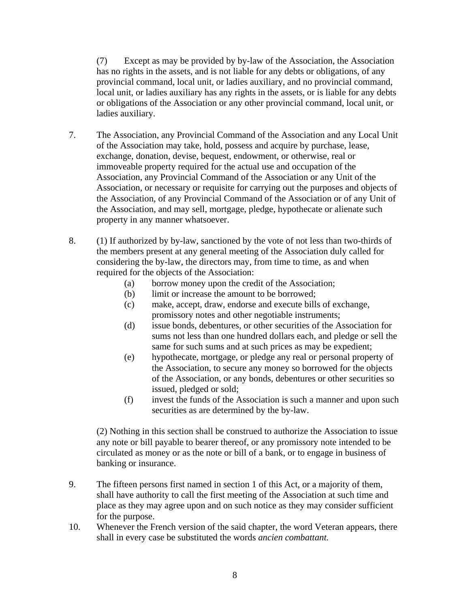(7) Except as may be provided by by-law of the Association, the Association has no rights in the assets, and is not liable for any debts or obligations, of any provincial command, local unit, or ladies auxiliary, and no provincial command, local unit, or ladies auxiliary has any rights in the assets, or is liable for any debts or obligations of the Association or any other provincial command, local unit, or ladies auxiliary.

- 7. The Association, any Provincial Command of the Association and any Local Unit of the Association may take, hold, possess and acquire by purchase, lease, exchange, donation, devise, bequest, endowment, or otherwise, real or immoveable property required for the actual use and occupation of the Association, any Provincial Command of the Association or any Unit of the Association, or necessary or requisite for carrying out the purposes and objects of the Association, of any Provincial Command of the Association or of any Unit of the Association, and may sell, mortgage, pledge, hypothecate or alienate such property in any manner whatsoever.
- 8. (1) If authorized by by-law, sanctioned by the vote of not less than two-thirds of the members present at any general meeting of the Association duly called for considering the by-law, the directors may, from time to time, as and when required for the objects of the Association:
	- (a) borrow money upon the credit of the Association;
	- (b) limit or increase the amount to be borrowed;
	- (c) make, accept, draw, endorse and execute bills of exchange, promissory notes and other negotiable instruments;
	- (d) issue bonds, debentures, or other securities of the Association for sums not less than one hundred dollars each, and pledge or sell the same for such sums and at such prices as may be expedient;
	- (e) hypothecate, mortgage, or pledge any real or personal property of the Association, to secure any money so borrowed for the objects of the Association, or any bonds, debentures or other securities so issued, pledged or sold;
	- (f) invest the funds of the Association is such a manner and upon such securities as are determined by the by-law.

(2) Nothing in this section shall be construed to authorize the Association to issue any note or bill payable to bearer thereof, or any promissory note intended to be circulated as money or as the note or bill of a bank, or to engage in business of banking or insurance.

- 9. The fifteen persons first named in section 1 of this Act, or a majority of them, shall have authority to call the first meeting of the Association at such time and place as they may agree upon and on such notice as they may consider sufficient for the purpose.
- 10. Whenever the French version of the said chapter, the word Veteran appears, there shall in every case be substituted the words *ancien combattant.*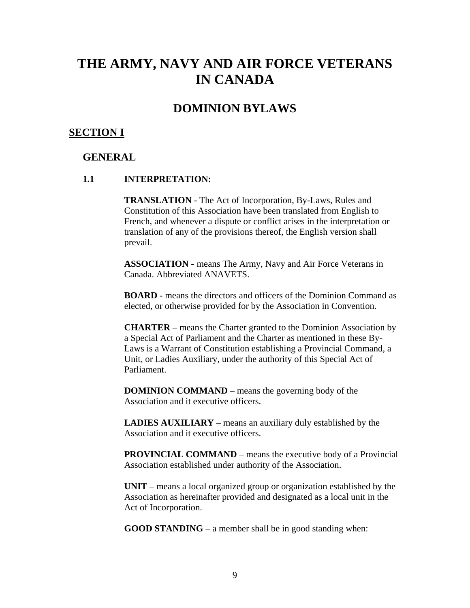# **THE ARMY, NAVY AND AIR FORCE VETERANS IN CANADA**

#### **DOMINION BYLAWS**

#### **SECTION I**

#### **GENERAL**

#### **1.1 INTERPRETATION:**

**TRANSLATION** - The Act of Incorporation, By-Laws, Rules and Constitution of this Association have been translated from English to French, and whenever a dispute or conflict arises in the interpretation or translation of any of the provisions thereof, the English version shall prevail.

**ASSOCIATION** - means The Army, Navy and Air Force Veterans in Canada. Abbreviated ANAVETS.

**BOARD** - means the directors and officers of the Dominion Command as elected, or otherwise provided for by the Association in Convention.

**CHARTER** – means the Charter granted to the Dominion Association by a Special Act of Parliament and the Charter as mentioned in these By-Laws is a Warrant of Constitution establishing a Provincial Command, a Unit, or Ladies Auxiliary, under the authority of this Special Act of Parliament.

**DOMINION COMMAND** – means the governing body of the Association and it executive officers.

**LADIES AUXILIARY** – means an auxiliary duly established by the Association and it executive officers.

**PROVINCIAL COMMAND** – means the executive body of a Provincial Association established under authority of the Association.

**UNIT** – means a local organized group or organization established by the Association as hereinafter provided and designated as a local unit in the Act of Incorporation.

**GOOD STANDING** – a member shall be in good standing when: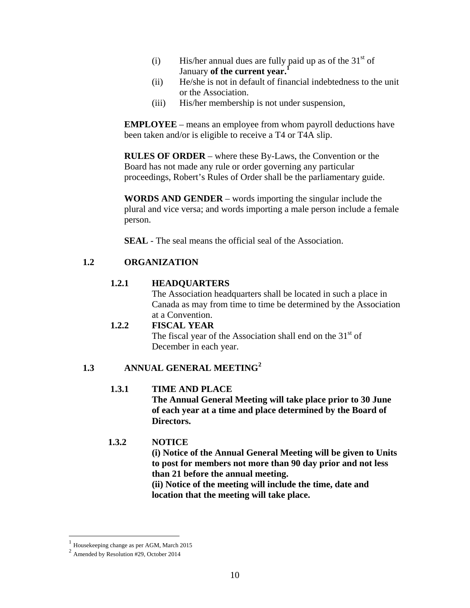- (i) His/her annual dues are fully paid up as of the  $31<sup>st</sup>$  of January of the current year.<sup>1</sup>
- (ii) He/she is not in default of financial indebtedness to the unit or the Association.
- (iii) His/her membership is not under suspension,

**EMPLOYEE** – means an employee from whom payroll deductions have been taken and/or is eligible to receive a T4 or T4A slip.

**RULES OF ORDER** – where these By-Laws, the Convention or the Board has not made any rule or order governing any particular proceedings, Robert's Rules of Order shall be the parliamentary guide.

**WORDS AND GENDER** – words importing the singular include the plural and vice versa; and words importing a male person include a female person.

**SEAL** - The seal means the official seal of the Association.

#### **1.2 ORGANIZATION**

#### **1.2.1 HEADQUARTERS**

The Association headquarters shall be located in such a place in Canada as may from time to time be determined by the Association at a Convention.

#### **1.2.2 FISCAL YEAR**

The fiscal year of the Association shall end on the  $31<sup>st</sup>$  of December in each year.

#### **1.3 ANNUAL GENERAL MEETING<sup>2</sup>**

#### **1.3.1 TIME AND PLACE**

**The Annual General Meeting will take place prior to 30 June of each year at a time and place determined by the Board of Directors.** 

#### **1.3.2 NOTICE**

**(i) Notice of the Annual General Meeting will be given to Units to post for members not more than 90 day prior and not less than 21 before the annual meeting.** 

**(ii) Notice of the meeting will include the time, date and location that the meeting will take place.** 

 $\overline{a}$ 

<sup>1</sup> Housekeeping change as per AGM, March 2015

<sup>2</sup> Amended by Resolution #29, October 2014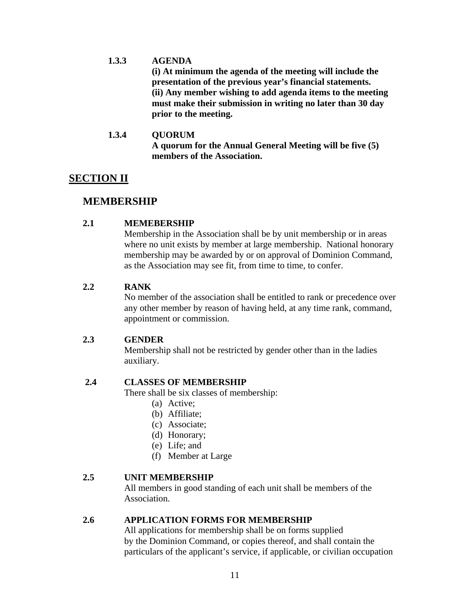- **1.3.3 AGENDA (i) At minimum the agenda of the meeting will include the presentation of the previous year's financial statements. (ii) Any member wishing to add agenda items to the meeting must make their submission in writing no later than 30 day prior to the meeting.** 
	- **1.3.4 QUORUM A quorum for the Annual General Meeting will be five (5) members of the Association.**

#### **SECTION II**

#### **MEMBERSHIP**

#### **2.1 MEMEBERSHIP**

Membership in the Association shall be by unit membership or in areas where no unit exists by member at large membership. National honorary membership may be awarded by or on approval of Dominion Command, as the Association may see fit, from time to time, to confer.

#### **2.2 RANK**

No member of the association shall be entitled to rank or precedence over any other member by reason of having held, at any time rank, command, appointment or commission.

#### **2.3 GENDER**

Membership shall not be restricted by gender other than in the ladies auxiliary.

#### **2.4 CLASSES OF MEMBERSHIP**

There shall be six classes of membership:

- (a) Active;
- (b) Affiliate;
- (c) Associate;
- (d) Honorary;
- (e) Life; and
- (f) Member at Large

#### **2.5 UNIT MEMBERSHIP**

All members in good standing of each unit shall be members of the Association.

#### **2.6 APPLICATION FORMS FOR MEMBERSHIP**

All applications for membership shall be on forms supplied by the Dominion Command, or copies thereof, and shall contain the particulars of the applicant's service, if applicable, or civilian occupation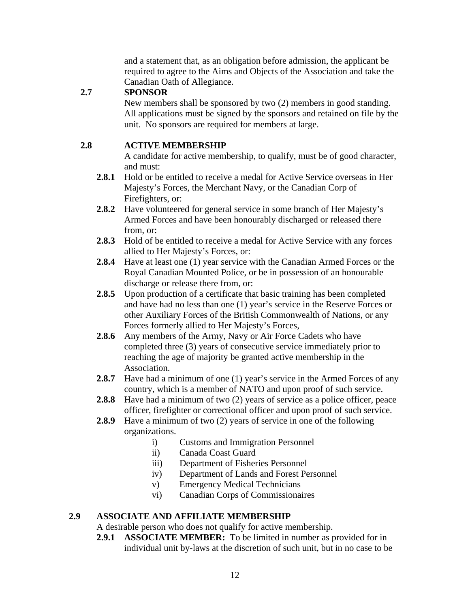and a statement that, as an obligation before admission, the applicant be required to agree to the Aims and Objects of the Association and take the Canadian Oath of Allegiance.

#### **2.7 SPONSOR**

New members shall be sponsored by two (2) members in good standing. All applications must be signed by the sponsors and retained on file by the unit. No sponsors are required for members at large.

#### **2.8 ACTIVE MEMBERSHIP**

A candidate for active membership, to qualify, must be of good character, and must:

- **2.8.1** Hold or be entitled to receive a medal for Active Service overseas in Her Majesty's Forces, the Merchant Navy, or the Canadian Corp of Firefighters, or:
- **2.8.2** Have volunteered for general service in some branch of Her Majesty's Armed Forces and have been honourably discharged or released there from, or:
- **2.8.3** Hold of be entitled to receive a medal for Active Service with any forces allied to Her Majesty's Forces, or:
- **2.8.4** Have at least one (1) year service with the Canadian Armed Forces or the Royal Canadian Mounted Police, or be in possession of an honourable discharge or release there from, or:
- **2.8.5** Upon production of a certificate that basic training has been completed and have had no less than one (1) year's service in the Reserve Forces or other Auxiliary Forces of the British Commonwealth of Nations, or any Forces formerly allied to Her Majesty's Forces,
- **2.8.6** Any members of the Army, Navy or Air Force Cadets who have completed three (3) years of consecutive service immediately prior to reaching the age of majority be granted active membership in the Association.
- **2.8.7** Have had a minimum of one (1) year's service in the Armed Forces of any country, which is a member of NATO and upon proof of such service.
- **2.8.8** Have had a minimum of two (2) years of service as a police officer, peace officer, firefighter or correctional officer and upon proof of such service.
- **2.8.9** Have a minimum of two (2) years of service in one of the following organizations.
	- i) Customs and Immigration Personnel
	- ii) Canada Coast Guard
	- iii) Department of Fisheries Personnel
	- iv) Department of Lands and Forest Personnel
	- v) Emergency Medical Technicians
	- vi) Canadian Corps of Commissionaires

#### **2.9 ASSOCIATE AND AFFILIATE MEMBERSHIP**

A desirable person who does not qualify for active membership.

**2.9.1 ASSOCIATE MEMBER:** To be limited in number as provided for in individual unit by-laws at the discretion of such unit, but in no case to be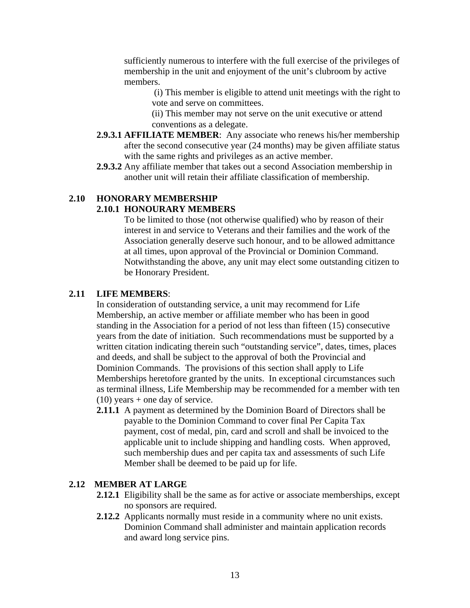sufficiently numerous to interfere with the full exercise of the privileges of membership in the unit and enjoyment of the unit's clubroom by active members.

> (i) This member is eligible to attend unit meetings with the right to vote and serve on committees.

(ii) This member may not serve on the unit executive or attend conventions as a delegate.

- **2.9.3.1 AFFILIATE MEMBER**: Any associate who renews his/her membership after the second consecutive year (24 months) may be given affiliate status with the same rights and privileges as an active member.
- **2.9.3.2** Any affiliate member that takes out a second Association membership in another unit will retain their affiliate classification of membership.

#### **2.10 HONORARY MEMBERSHIP 2.10.1 HONOURARY MEMBERS**

To be limited to those (not otherwise qualified) who by reason of their interest in and service to Veterans and their families and the work of the Association generally deserve such honour, and to be allowed admittance at all times, upon approval of the Provincial or Dominion Command. Notwithstanding the above, any unit may elect some outstanding citizen to be Honorary President.

#### **2.11 LIFE MEMBERS**:

In consideration of outstanding service, a unit may recommend for Life Membership, an active member or affiliate member who has been in good standing in the Association for a period of not less than fifteen (15) consecutive years from the date of initiation. Such recommendations must be supported by a written citation indicating therein such "outstanding service", dates, times, places and deeds, and shall be subject to the approval of both the Provincial and Dominion Commands. The provisions of this section shall apply to Life Memberships heretofore granted by the units. In exceptional circumstances such as terminal illness, Life Membership may be recommended for a member with ten  $(10)$  years + one day of service.

**2.11.1** A payment as determined by the Dominion Board of Directors shall be payable to the Dominion Command to cover final Per Capita Tax payment, cost of medal, pin, card and scroll and shall be invoiced to the applicable unit to include shipping and handling costs. When approved, such membership dues and per capita tax and assessments of such Life Member shall be deemed to be paid up for life.

#### **2.12 MEMBER AT LARGE**

- **2.12.1** Eligibility shall be the same as for active or associate memberships, except no sponsors are required.
- **2.12.2** Applicants normally must reside in a community where no unit exists. Dominion Command shall administer and maintain application records and award long service pins.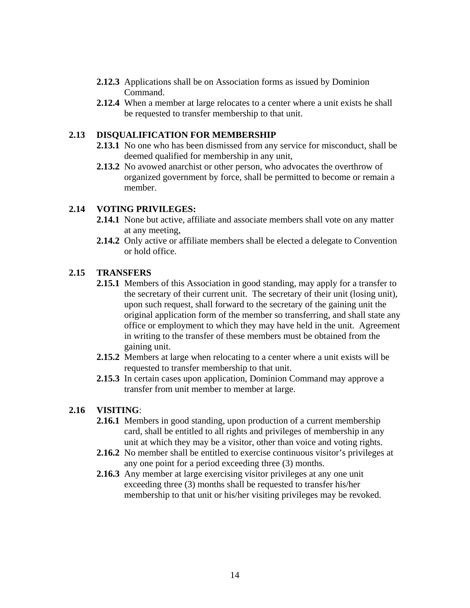- **2.12.3** Applications shall be on Association forms as issued by Dominion Command.
- **2.12.4** When a member at large relocates to a center where a unit exists he shall be requested to transfer membership to that unit.

#### **2.13 DISQUALIFICATION FOR MEMBERSHIP**

- **2.13.1** No one who has been dismissed from any service for misconduct, shall be deemed qualified for membership in any unit,
- **2.13.2** No avowed anarchist or other person, who advocates the overthrow of organized government by force, shall be permitted to become or remain a member.

#### **2.14 VOTING PRIVILEGES:**

- **2.14.1** None but active, affiliate and associate members shall vote on any matter at any meeting,
- **2.14.2** Only active or affiliate members shall be elected a delegate to Convention or hold office.

#### **2.15 TRANSFERS**

- **2.15.1** Members of this Association in good standing, may apply for a transfer to the secretary of their current unit. The secretary of their unit (losing unit), upon such request, shall forward to the secretary of the gaining unit the original application form of the member so transferring, and shall state any office or employment to which they may have held in the unit. Agreement in writing to the transfer of these members must be obtained from the gaining unit.
- **2.15.2** Members at large when relocating to a center where a unit exists will be requested to transfer membership to that unit.
- **2.15.3** In certain cases upon application, Dominion Command may approve a transfer from unit member to member at large.

#### **2.16 VISITING**:

- **2.16.1** Members in good standing, upon production of a current membership card, shall be entitled to all rights and privileges of membership in any unit at which they may be a visitor, other than voice and voting rights.
- **2.16.2** No member shall be entitled to exercise continuous visitor's privileges at any one point for a period exceeding three (3) months.
- **2.16.3** Any member at large exercising visitor privileges at any one unit exceeding three (3) months shall be requested to transfer his/her membership to that unit or his/her visiting privileges may be revoked.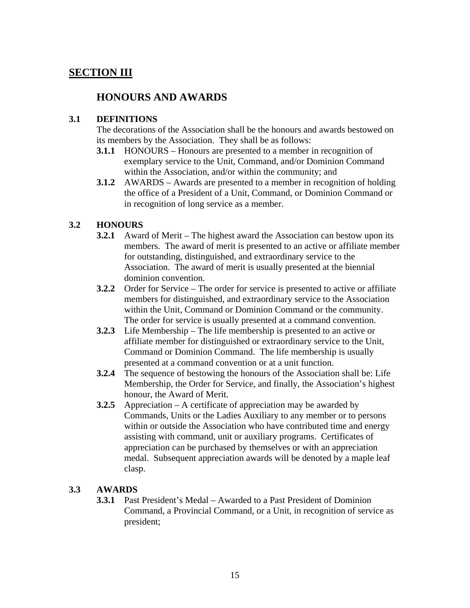# **SECTION III**

#### **HONOURS AND AWARDS**

#### **3.1 DEFINITIONS**

The decorations of the Association shall be the honours and awards bestowed on its members by the Association. They shall be as follows:

- **3.1.1** HONOURS Honours are presented to a member in recognition of exemplary service to the Unit, Command, and/or Dominion Command within the Association, and/or within the community; and
- **3.1.2** AWARDS Awards are presented to a member in recognition of holding the office of a President of a Unit, Command, or Dominion Command or in recognition of long service as a member.

#### **3.2 HONOURS**

- **3.2.1** Award of Merit The highest award the Association can bestow upon its members. The award of merit is presented to an active or affiliate member for outstanding, distinguished, and extraordinary service to the Association. The award of merit is usually presented at the biennial dominion convention.
- **3.2.2** Order for Service The order for service is presented to active or affiliate members for distinguished, and extraordinary service to the Association within the Unit, Command or Dominion Command or the community. The order for service is usually presented at a command convention.
- **3.2.3** Life Membership The life membership is presented to an active or affiliate member for distinguished or extraordinary service to the Unit, Command or Dominion Command. The life membership is usually presented at a command convention or at a unit function.
- **3.2.4** The sequence of bestowing the honours of the Association shall be: Life Membership, the Order for Service, and finally, the Association's highest honour, the Award of Merit.
- **3.2.5** Appreciation A certificate of appreciation may be awarded by Commands, Units or the Ladies Auxiliary to any member or to persons within or outside the Association who have contributed time and energy assisting with command, unit or auxiliary programs. Certificates of appreciation can be purchased by themselves or with an appreciation medal. Subsequent appreciation awards will be denoted by a maple leaf clasp.

#### **3.3 AWARDS**

**3.3.1** Past President's Medal – Awarded to a Past President of Dominion Command, a Provincial Command, or a Unit, in recognition of service as president;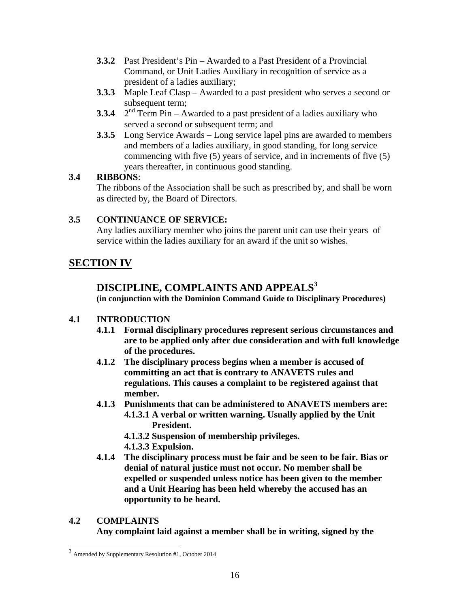- **3.3.2** Past President's Pin Awarded to a Past President of a Provincial Command, or Unit Ladies Auxiliary in recognition of service as a president of a ladies auxiliary;
- **3.3.3** Maple Leaf Clasp Awarded to a past president who serves a second or subsequent term;
- **3.3.4** 2<sup>nd</sup> Term Pin Awarded to a past president of a ladies auxiliary who served a second or subsequent term; and
- **3.3.5** Long Service Awards Long service lapel pins are awarded to members and members of a ladies auxiliary, in good standing, for long service commencing with five (5) years of service, and in increments of five (5) years thereafter, in continuous good standing.

#### **3.4 RIBBONS**:

The ribbons of the Association shall be such as prescribed by, and shall be worn as directed by, the Board of Directors.

#### **3.5 CONTINUANCE OF SERVICE:**

Any ladies auxiliary member who joins the parent unit can use their years of service within the ladies auxiliary for an award if the unit so wishes.

#### **SECTION IV**

#### **DISCIPLINE, COMPLAINTS AND APPEALS3**

**(in conjunction with the Dominion Command Guide to Disciplinary Procedures)** 

#### **4.1 INTRODUCTION**

- **4.1.1 Formal disciplinary procedures represent serious circumstances and are to be applied only after due consideration and with full knowledge of the procedures.**
- **4.1.2 The disciplinary process begins when a member is accused of committing an act that is contrary to ANAVETS rules and regulations. This causes a complaint to be registered against that member.**
- **4.1.3 Punishments that can be administered to ANAVETS members are: 4.1.3.1 A verbal or written warning. Usually applied by the Unit President.**

 **4.1.3.2 Suspension of membership privileges.** 

- **4.1.3.3 Expulsion.**
- **4.1.4 The disciplinary process must be fair and be seen to be fair. Bias or denial of natural justice must not occur. No member shall be expelled or suspended unless notice has been given to the member and a Unit Hearing has been held whereby the accused has an opportunity to be heard.**

#### **4.2 COMPLAINTS Any complaint laid against a member shall be in writing, signed by the**

 $\overline{a}$ 

<sup>3</sup> Amended by Supplementary Resolution #1, October 2014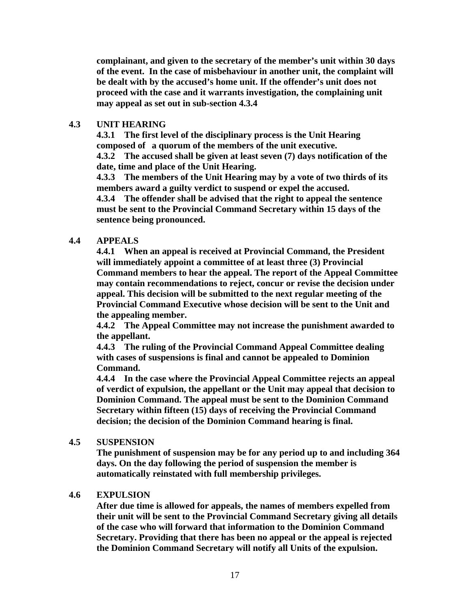**complainant, and given to the secretary of the member's unit within 30 days of the event. In the case of misbehaviour in another unit, the complaint will be dealt with by the accused's home unit. If the offender's unit does not proceed with the case and it warrants investigation, the complaining unit may appeal as set out in sub-section 4.3.4** 

#### **4.3 UNIT HEARING**

 **4.3.1 The first level of the disciplinary process is the Unit Hearing composed of a quorum of the members of the unit executive.** 

 **4.3.2 The accused shall be given at least seven (7) days notification of the date, time and place of the Unit Hearing.** 

 **4.3.3 The members of the Unit Hearing may by a vote of two thirds of its members award a guilty verdict to suspend or expel the accused.** 

 **4.3.4 The offender shall be advised that the right to appeal the sentence must be sent to the Provincial Command Secretary within 15 days of the sentence being pronounced.** 

#### **4.4 APPEALS**

 **4.4.1 When an appeal is received at Provincial Command, the President will immediately appoint a committee of at least three (3) Provincial Command members to hear the appeal. The report of the Appeal Committee may contain recommendations to reject, concur or revise the decision under appeal. This decision will be submitted to the next regular meeting of the Provincial Command Executive whose decision will be sent to the Unit and the appealing member.** 

 **4.4.2 The Appeal Committee may not increase the punishment awarded to the appellant.** 

 **4.4.3 The ruling of the Provincial Command Appeal Committee dealing with cases of suspensions is final and cannot be appealed to Dominion Command.** 

 **4.4.4 In the case where the Provincial Appeal Committee rejects an appeal of verdict of expulsion, the appellant or the Unit may appeal that decision to Dominion Command. The appeal must be sent to the Dominion Command Secretary within fifteen (15) days of receiving the Provincial Command decision; the decision of the Dominion Command hearing is final.** 

#### **4.5 SUSPENSION**

 **The punishment of suspension may be for any period up to and including 364 days. On the day following the period of suspension the member is automatically reinstated with full membership privileges.** 

#### **4.6 EXPULSION**

 **After due time is allowed for appeals, the names of members expelled from their unit will be sent to the Provincial Command Secretary giving all details of the case who will forward that information to the Dominion Command Secretary. Providing that there has been no appeal or the appeal is rejected the Dominion Command Secretary will notify all Units of the expulsion.**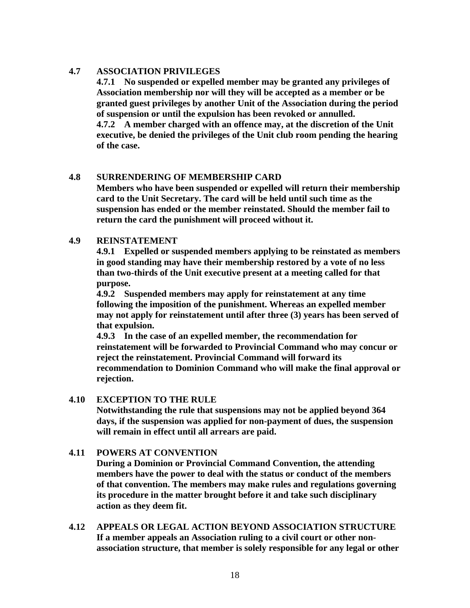#### **4.7 ASSOCIATION PRIVILEGES**

 **4.7.1 No suspended or expelled member may be granted any privileges of Association membership nor will they will be accepted as a member or be granted guest privileges by another Unit of the Association during the period of suspension or until the expulsion has been revoked or annulled. 4.7.2 A member charged with an offence may, at the discretion of the Unit executive, be denied the privileges of the Unit club room pending the hearing of the case.** 

#### **4.8 SURRENDERING OF MEMBERSHIP CARD**

 **Members who have been suspended or expelled will return their membership card to the Unit Secretary. The card will be held until such time as the suspension has ended or the member reinstated. Should the member fail to return the card the punishment will proceed without it.** 

#### **4.9 REINSTATEMENT**

 **4.9.1 Expelled or suspended members applying to be reinstated as members in good standing may have their membership restored by a vote of no less than two-thirds of the Unit executive present at a meeting called for that purpose.** 

 **4.9.2 Suspended members may apply for reinstatement at any time following the imposition of the punishment. Whereas an expelled member may not apply for reinstatement until after three (3) years has been served of that expulsion.** 

 **4.9.3 In the case of an expelled member, the recommendation for reinstatement will be forwarded to Provincial Command who may concur or reject the reinstatement. Provincial Command will forward its recommendation to Dominion Command who will make the final approval or rejection.** 

**4.10 EXCEPTION TO THE RULE Notwithstanding the rule that suspensions may not be applied beyond 364 days, if the suspension was applied for non-payment of dues, the suspension will remain in effect until all arrears are paid.** 

#### **4.11 POWERS AT CONVENTION**

 **During a Dominion or Provincial Command Convention, the attending members have the power to deal with the status or conduct of the members of that convention. The members may make rules and regulations governing its procedure in the matter brought before it and take such disciplinary action as they deem fit.** 

**4.12 APPEALS OR LEGAL ACTION BEYOND ASSOCIATION STRUCTURE If a member appeals an Association ruling to a civil court or other nonassociation structure, that member is solely responsible for any legal or other**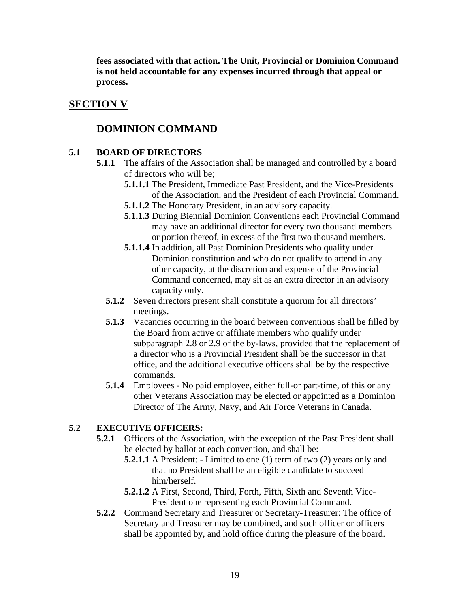**fees associated with that action. The Unit, Provincial or Dominion Command is not held accountable for any expenses incurred through that appeal or process.** 

#### **SECTION V**

#### **DOMINION COMMAND**

#### **5.1 BOARD OF DIRECTORS**

- **5.1.1** The affairs of the Association shall be managed and controlled by a board of directors who will be;
	- **5.1.1.1** The President, Immediate Past President, and the Vice-Presidents of the Association, and the President of each Provincial Command.
	- **5.1.1.2** The Honorary President, in an advisory capacity.
	- **5.1.1.3** During Biennial Dominion Conventions each Provincial Command may have an additional director for every two thousand members or portion thereof, in excess of the first two thousand members.
	- **5.1.1.4** In addition, all Past Dominion Presidents who qualify under Dominion constitution and who do not qualify to attend in any other capacity, at the discretion and expense of the Provincial Command concerned, may sit as an extra director in an advisory capacity only.
	- **5.1.2** Seven directors present shall constitute a quorum for all directors' meetings.
	- **5.1.3** Vacancies occurring in the board between conventions shall be filled by the Board from active or affiliate members who qualify under subparagraph 2.8 or 2.9 of the by-laws, provided that the replacement of a director who is a Provincial President shall be the successor in that office, and the additional executive officers shall be by the respective commands*.*
	- **5.1.4** Employees No paid employee, either full-or part-time, of this or any other Veterans Association may be elected or appointed as a Dominion Director of The Army, Navy, and Air Force Veterans in Canada.

#### **5.2 EXECUTIVE OFFICERS:**

- **5.2.1** Officers of the Association, with the exception of the Past President shall be elected by ballot at each convention, and shall be:
	- **5.2.1.1** A President: Limited to one (1) term of two (2) years only and that no President shall be an eligible candidate to succeed him/herself.
	- **5.2.1.2** A First, Second, Third, Forth, Fifth, Sixth and Seventh Vice-President one representing each Provincial Command.
- **5.2.2** Command Secretary and Treasurer or Secretary-Treasurer: The office of Secretary and Treasurer may be combined, and such officer or officers shall be appointed by, and hold office during the pleasure of the board.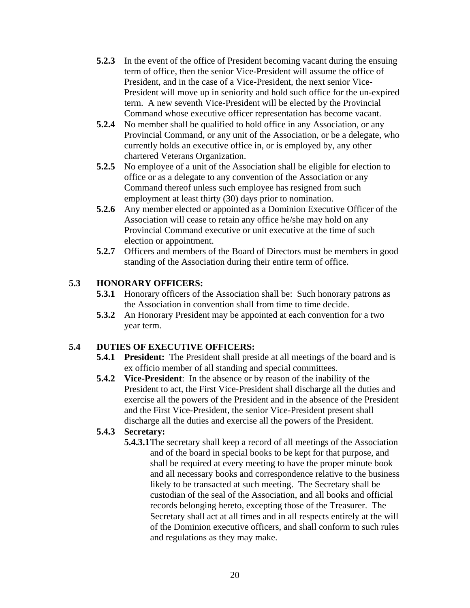- **5.2.3** In the event of the office of President becoming vacant during the ensuing term of office, then the senior Vice-President will assume the office of President, and in the case of a Vice-President, the next senior Vice-President will move up in seniority and hold such office for the un-expired term. A new seventh Vice-President will be elected by the Provincial Command whose executive officer representation has become vacant.
- **5.2.4** No member shall be qualified to hold office in any Association, or any Provincial Command, or any unit of the Association, or be a delegate, who currently holds an executive office in, or is employed by, any other chartered Veterans Organization.
- **5.2.5** No employee of a unit of the Association shall be eligible for election to office or as a delegate to any convention of the Association or any Command thereof unless such employee has resigned from such employment at least thirty (30) days prior to nomination.
- **5.2.6** Any member elected or appointed as a Dominion Executive Officer of the Association will cease to retain any office he/she may hold on any Provincial Command executive or unit executive at the time of such election or appointment.
- **5.2.7** Officers and members of the Board of Directors must be members in good standing of the Association during their entire term of office.

#### **5.3 HONORARY OFFICERS:**

- **5.3.1** Honorary officers of the Association shall be: Such honorary patrons as the Association in convention shall from time to time decide.
- **5.3.2** An Honorary President may be appointed at each convention for a two year term.

### **5.4 DUTIES OF EXECUTIVE OFFICERS:**

- **5.4.1 President:** The President shall preside at all meetings of the board and is ex officio member of all standing and special committees.
- **5.4.2 Vice-President**: In the absence or by reason of the inability of the President to act, the First Vice-President shall discharge all the duties and exercise all the powers of the President and in the absence of the President and the First Vice-President, the senior Vice-President present shall discharge all the duties and exercise all the powers of the President.

### **5.4.3 Secretary:**

**5.4.3.1** The secretary shall keep a record of all meetings of the Association and of the board in special books to be kept for that purpose, and shall be required at every meeting to have the proper minute book and all necessary books and correspondence relative to the business likely to be transacted at such meeting. The Secretary shall be custodian of the seal of the Association, and all books and official records belonging hereto, excepting those of the Treasurer. The Secretary shall act at all times and in all respects entirely at the will of the Dominion executive officers, and shall conform to such rules and regulations as they may make.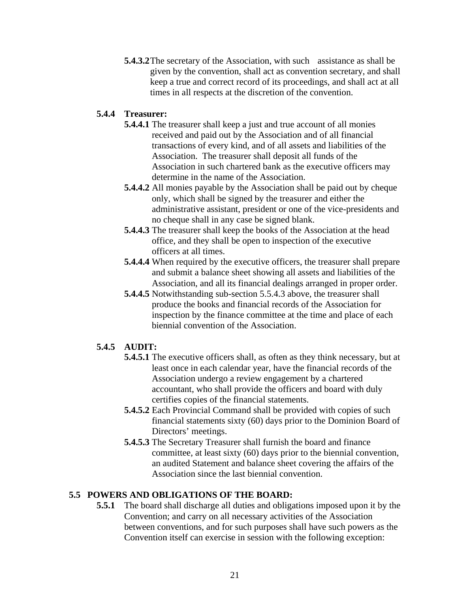**5.4.3.2** The secretary of the Association, with such assistance as shall be given by the convention, shall act as convention secretary, and shall keep a true and correct record of its proceedings, and shall act at all times in all respects at the discretion of the convention.

#### **5.4.4 Treasurer:**

- **5.4.4.1** The treasurer shall keep a just and true account of all monies received and paid out by the Association and of all financial transactions of every kind, and of all assets and liabilities of the Association. The treasurer shall deposit all funds of the Association in such chartered bank as the executive officers may determine in the name of the Association.
- **5.4.4.2** All monies payable by the Association shall be paid out by cheque only, which shall be signed by the treasurer and either the administrative assistant, president or one of the vice-presidents and no cheque shall in any case be signed blank.
- **5.4.4.3** The treasurer shall keep the books of the Association at the head office, and they shall be open to inspection of the executive officers at all times.
- **5.4.4.4** When required by the executive officers, the treasurer shall prepare and submit a balance sheet showing all assets and liabilities of the Association, and all its financial dealings arranged in proper order.
- **5.4.4.5** Notwithstanding sub-section 5.5.4.3 above, the treasurer shall produce the books and financial records of the Association for inspection by the finance committee at the time and place of each biennial convention of the Association.

#### **5.4.5 AUDIT:**

- **5.4.5.1** The executive officers shall, as often as they think necessary, but at least once in each calendar year, have the financial records of the Association undergo a review engagement by a chartered accountant, who shall provide the officers and board with duly certifies copies of the financial statements.
- **5.4.5.2** Each Provincial Command shall be provided with copies of such financial statements sixty (60) days prior to the Dominion Board of Directors' meetings.
- **5.4.5.3** The Secretary Treasurer shall furnish the board and finance committee, at least sixty (60) days prior to the biennial convention, an audited Statement and balance sheet covering the affairs of the Association since the last biennial convention.

#### **5.5 POWERS AND OBLIGATIONS OF THE BOARD:**

**5.5.1** The board shall discharge all duties and obligations imposed upon it by the Convention; and carry on all necessary activities of the Association between conventions, and for such purposes shall have such powers as the Convention itself can exercise in session with the following exception: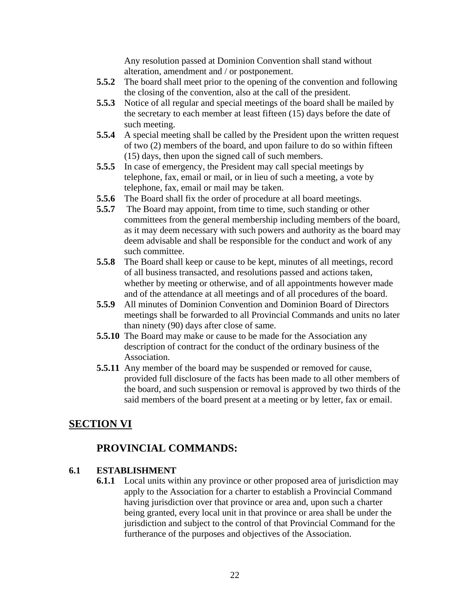Any resolution passed at Dominion Convention shall stand without alteration, amendment and / or postponement.

- **5.5.2** The board shall meet prior to the opening of the convention and following the closing of the convention, also at the call of the president.
- **5.5.3** Notice of all regular and special meetings of the board shall be mailed by the secretary to each member at least fifteen (15) days before the date of such meeting.
- **5.5.4** A special meeting shall be called by the President upon the written request of two (2) members of the board, and upon failure to do so within fifteen (15) days, then upon the signed call of such members.
- **5.5.5** In case of emergency, the President may call special meetings by telephone, fax, email or mail, or in lieu of such a meeting, a vote by telephone, fax, email or mail may be taken.
- **5.5.6** The Board shall fix the order of procedure at all board meetings.
- **5.5.7** The Board may appoint, from time to time, such standing or other committees from the general membership including members of the board, as it may deem necessary with such powers and authority as the board may deem advisable and shall be responsible for the conduct and work of any such committee.
- **5.5.8** The Board shall keep or cause to be kept, minutes of all meetings, record of all business transacted, and resolutions passed and actions taken, whether by meeting or otherwise, and of all appointments however made and of the attendance at all meetings and of all procedures of the board.
- **5.5.9** All minutes of Dominion Convention and Dominion Board of Directors meetings shall be forwarded to all Provincial Commands and units no later than ninety (90) days after close of same.
- **5.5.10** The Board may make or cause to be made for the Association any description of contract for the conduct of the ordinary business of the Association.
- **5.5.11** Any member of the board may be suspended or removed for cause, provided full disclosure of the facts has been made to all other members of the board, and such suspension or removal is approved by two thirds of the said members of the board present at a meeting or by letter, fax or email.

# **SECTION VI**

# **PROVINCIAL COMMANDS:**

#### **6.1 ESTABLISHMENT**

**6.1.1** Local units within any province or other proposed area of jurisdiction may apply to the Association for a charter to establish a Provincial Command having jurisdiction over that province or area and, upon such a charter being granted, every local unit in that province or area shall be under the jurisdiction and subject to the control of that Provincial Command for the furtherance of the purposes and objectives of the Association.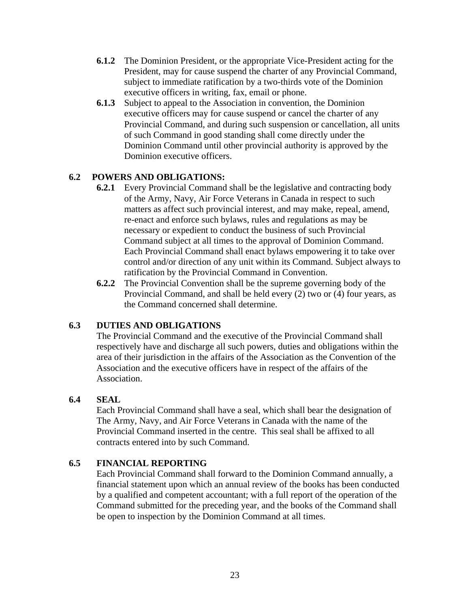- **6.1.2** The Dominion President, or the appropriate Vice-President acting for the President, may for cause suspend the charter of any Provincial Command, subject to immediate ratification by a two-thirds vote of the Dominion executive officers in writing, fax, email or phone.
- **6.1.3** Subject to appeal to the Association in convention, the Dominion executive officers may for cause suspend or cancel the charter of any Provincial Command, and during such suspension or cancellation, all units of such Command in good standing shall come directly under the Dominion Command until other provincial authority is approved by the Dominion executive officers.

#### **6.2 POWERS AND OBLIGATIONS:**

- **6.2.1** Every Provincial Command shall be the legislative and contracting body of the Army, Navy, Air Force Veterans in Canada in respect to such matters as affect such provincial interest, and may make, repeal, amend, re-enact and enforce such bylaws, rules and regulations as may be necessary or expedient to conduct the business of such Provincial Command subject at all times to the approval of Dominion Command. Each Provincial Command shall enact bylaws empowering it to take over control and/or direction of any unit within its Command. Subject always to ratification by the Provincial Command in Convention.
- **6.2.2** The Provincial Convention shall be the supreme governing body of the Provincial Command, and shall be held every (2) two or (4) four years, as the Command concerned shall determine.

#### **6.3 DUTIES AND OBLIGATIONS**

The Provincial Command and the executive of the Provincial Command shall respectively have and discharge all such powers, duties and obligations within the area of their jurisdiction in the affairs of the Association as the Convention of the Association and the executive officers have in respect of the affairs of the Association.

#### **6.4 SEAL**

Each Provincial Command shall have a seal, which shall bear the designation of The Army, Navy, and Air Force Veterans in Canada with the name of the Provincial Command inserted in the centre. This seal shall be affixed to all contracts entered into by such Command.

#### **6.5 FINANCIAL REPORTING**

Each Provincial Command shall forward to the Dominion Command annually, a financial statement upon which an annual review of the books has been conducted by a qualified and competent accountant; with a full report of the operation of the Command submitted for the preceding year, and the books of the Command shall be open to inspection by the Dominion Command at all times.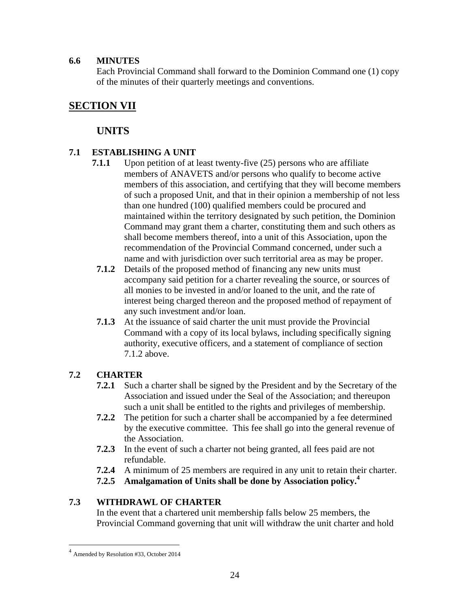#### **6.6 MINUTES**

Each Provincial Command shall forward to the Dominion Command one (1) copy of the minutes of their quarterly meetings and conventions.

### **SECTION VII**

#### **UNITS**

#### **7.1 ESTABLISHING A UNIT**

- **7.1.1** Upon petition of at least twenty-five (25) persons who are affiliate members of ANAVETS and/or persons who qualify to become active members of this association, and certifying that they will become members of such a proposed Unit, and that in their opinion a membership of not less than one hundred (100) qualified members could be procured and maintained within the territory designated by such petition, the Dominion Command may grant them a charter, constituting them and such others as shall become members thereof, into a unit of this Association, upon the recommendation of the Provincial Command concerned, under such a name and with jurisdiction over such territorial area as may be proper.
- **7.1.2** Details of the proposed method of financing any new units must accompany said petition for a charter revealing the source, or sources of all monies to be invested in and/or loaned to the unit, and the rate of interest being charged thereon and the proposed method of repayment of any such investment and/or loan.
- **7.1.3** At the issuance of said charter the unit must provide the Provincial Command with a copy of its local bylaws, including specifically signing authority, executive officers, and a statement of compliance of section 7.1.2 above.

#### **7.2 CHARTER**

- **7.2.1** Such a charter shall be signed by the President and by the Secretary of the Association and issued under the Seal of the Association; and thereupon such a unit shall be entitled to the rights and privileges of membership.
- **7.2.2** The petition for such a charter shall be accompanied by a fee determined by the executive committee. This fee shall go into the general revenue of the Association.
- **7.2.3** In the event of such a charter not being granted, all fees paid are not refundable.
- **7.2.4** A minimum of 25 members are required in any unit to retain their charter.
- **7.2.5 Amalgamation of Units shall be done by Association policy.4**

#### **7.3 WITHDRAWL OF CHARTER**

In the event that a chartered unit membership falls below 25 members, the Provincial Command governing that unit will withdraw the unit charter and hold

 $\overline{a}$ 

<sup>4</sup> Amended by Resolution #33, October 2014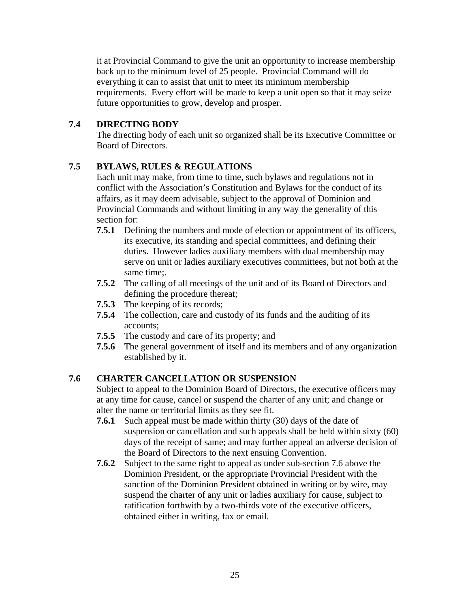it at Provincial Command to give the unit an opportunity to increase membership back up to the minimum level of 25 people. Provincial Command will do everything it can to assist that unit to meet its minimum membership requirements. Every effort will be made to keep a unit open so that it may seize future opportunities to grow, develop and prosper.

#### **7.4 DIRECTING BODY**

The directing body of each unit so organized shall be its Executive Committee or Board of Directors.

#### **7.5 BYLAWS, RULES & REGULATIONS**

Each unit may make, from time to time, such bylaws and regulations not in conflict with the Association's Constitution and Bylaws for the conduct of its affairs, as it may deem advisable, subject to the approval of Dominion and Provincial Commands and without limiting in any way the generality of this section for:

- **7.5.1** Defining the numbers and mode of election or appointment of its officers, its executive, its standing and special committees, and defining their duties. However ladies auxiliary members with dual membership may serve on unit or ladies auxiliary executives committees, but not both at the same time;.
- **7.5.2** The calling of all meetings of the unit and of its Board of Directors and defining the procedure thereat;
- **7.5.3** The keeping of its records;
- **7.5.4** The collection, care and custody of its funds and the auditing of its accounts;
- **7.5.5** The custody and care of its property; and
- **7.5.6** The general government of itself and its members and of any organization established by it.

#### **7.6 CHARTER CANCELLATION OR SUSPENSION**

Subject to appeal to the Dominion Board of Directors, the executive officers may at any time for cause, cancel or suspend the charter of any unit; and change or alter the name or territorial limits as they see fit.

- **7.6.1** Such appeal must be made within thirty (30) days of the date of suspension or cancellation and such appeals shall be held within sixty (60) days of the receipt of same; and may further appeal an adverse decision of the Board of Directors to the next ensuing Convention.
- **7.6.2** Subject to the same right to appeal as under sub-section 7.6 above the Dominion President, or the appropriate Provincial President with the sanction of the Dominion President obtained in writing or by wire, may suspend the charter of any unit or ladies auxiliary for cause, subject to ratification forthwith by a two-thirds vote of the executive officers, obtained either in writing, fax or email.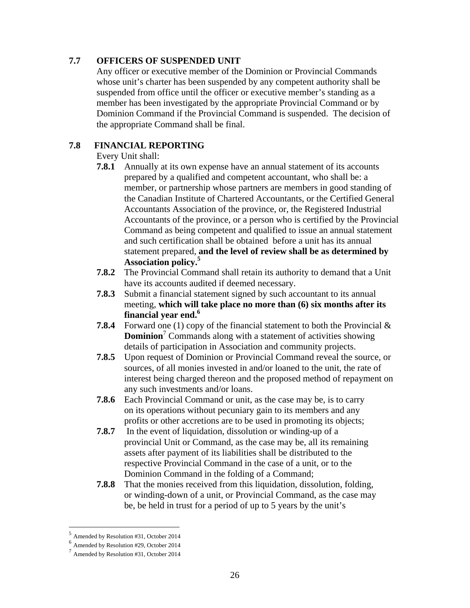#### **7.7 OFFICERS OF SUSPENDED UNIT**

Any officer or executive member of the Dominion or Provincial Commands whose unit's charter has been suspended by any competent authority shall be suspended from office until the officer or executive member's standing as a member has been investigated by the appropriate Provincial Command or by Dominion Command if the Provincial Command is suspended. The decision of the appropriate Command shall be final.

#### **7.8 FINANCIAL REPORTING**

#### Every Unit shall:

- **7.8.1** Annually at its own expense have an annual statement of its accounts prepared by a qualified and competent accountant, who shall be: a member, or partnership whose partners are members in good standing of the Canadian Institute of Chartered Accountants, or the Certified General Accountants Association of the province, or, the Registered Industrial Accountants of the province, or a person who is certified by the Provincial Command as being competent and qualified to issue an annual statement and such certification shall be obtained before a unit has its annual statement prepared, **and the level of review shall be as determined by Association policy.5**
- **7.8.2** The Provincial Command shall retain its authority to demand that a Unit have its accounts audited if deemed necessary.
- **7.8.3** Submit a financial statement signed by such accountant to its annual meeting, **which will take place no more than (6) six months after its financial year end.6**
- **7.8.4** Forward one (1) copy of the financial statement to both the Provincial & **Dominion**<sup>7</sup> Commands along with a statement of activities showing details of participation in Association and community projects.
- **7.8.5** Upon request of Dominion or Provincial Command reveal the source, or sources, of all monies invested in and/or loaned to the unit, the rate of interest being charged thereon and the proposed method of repayment on any such investments and/or loans.
- **7.8.6** Each Provincial Command or unit, as the case may be, is to carry on its operations without pecuniary gain to its members and any profits or other accretions are to be used in promoting its objects;
- **7.8.7** In the event of liquidation, dissolution or winding-up of a provincial Unit or Command, as the case may be, all its remaining assets after payment of its liabilities shall be distributed to the respective Provincial Command in the case of a unit, or to the Dominion Command in the folding of a Command;
- **7.8.8** That the monies received from this liquidation, dissolution, folding, or winding-down of a unit, or Provincial Command, as the case may be, be held in trust for a period of up to 5 years by the unit's

 $\overline{a}$ 

<sup>5</sup> Amended by Resolution #31, October 2014

<sup>6</sup> Amended by Resolution #29, October 2014

<sup>7</sup> Amended by Resolution #31, October 2014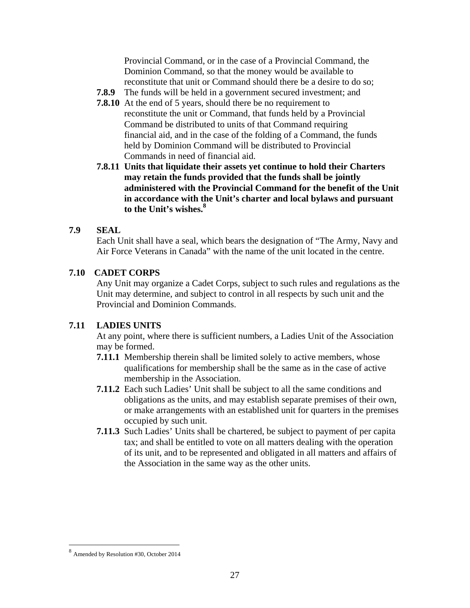Provincial Command, or in the case of a Provincial Command, the Dominion Command, so that the money would be available to reconstitute that unit or Command should there be a desire to do so;

- **7.8.9** The funds will be held in a government secured investment; and
- **7.8.10** At the end of 5 years, should there be no requirement to reconstitute the unit or Command, that funds held by a Provincial Command be distributed to units of that Command requiring financial aid, and in the case of the folding of a Command, the funds held by Dominion Command will be distributed to Provincial Commands in need of financial aid.
- **7.8.11 Units that liquidate their assets yet continue to hold their Charters may retain the funds provided that the funds shall be jointly administered with the Provincial Command for the benefit of the Unit in accordance with the Unit's charter and local bylaws and pursuant to the Unit's wishes.8**

#### **7.9 SEAL**

Each Unit shall have a seal, which bears the designation of "The Army, Navy and Air Force Veterans in Canada" with the name of the unit located in the centre.

#### **7.10 CADET CORPS**

Any Unit may organize a Cadet Corps, subject to such rules and regulations as the Unit may determine, and subject to control in all respects by such unit and the Provincial and Dominion Commands.

#### **7.11 LADIES UNITS**

At any point, where there is sufficient numbers, a Ladies Unit of the Association may be formed.

- **7.11.1** Membership therein shall be limited solely to active members, whose qualifications for membership shall be the same as in the case of active membership in the Association.
- **7.11.2** Each such Ladies' Unit shall be subject to all the same conditions and obligations as the units, and may establish separate premises of their own, or make arrangements with an established unit for quarters in the premises occupied by such unit.
- **7.11.3** Such Ladies' Units shall be chartered, be subject to payment of per capita tax; and shall be entitled to vote on all matters dealing with the operation of its unit, and to be represented and obligated in all matters and affairs of the Association in the same way as the other units.

 $\overline{a}$ 

<sup>8</sup> Amended by Resolution #30, October 2014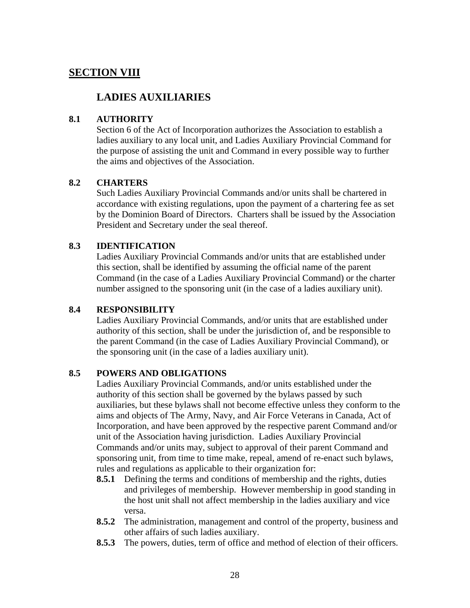## **SECTION VIII**

#### **LADIES AUXILIARIES**

#### **8.1 AUTHORITY**

Section 6 of the Act of Incorporation authorizes the Association to establish a ladies auxiliary to any local unit, and Ladies Auxiliary Provincial Command for the purpose of assisting the unit and Command in every possible way to further the aims and objectives of the Association.

#### **8.2 CHARTERS**

Such Ladies Auxiliary Provincial Commands and/or units shall be chartered in accordance with existing regulations, upon the payment of a chartering fee as set by the Dominion Board of Directors. Charters shall be issued by the Association President and Secretary under the seal thereof.

#### **8.3 IDENTIFICATION**

Ladies Auxiliary Provincial Commands and/or units that are established under this section, shall be identified by assuming the official name of the parent Command (in the case of a Ladies Auxiliary Provincial Command) or the charter number assigned to the sponsoring unit (in the case of a ladies auxiliary unit).

#### **8.4 RESPONSIBILITY**

Ladies Auxiliary Provincial Commands, and/or units that are established under authority of this section, shall be under the jurisdiction of, and be responsible to the parent Command (in the case of Ladies Auxiliary Provincial Command), or the sponsoring unit (in the case of a ladies auxiliary unit).

#### **8.5 POWERS AND OBLIGATIONS**

Ladies Auxiliary Provincial Commands, and/or units established under the authority of this section shall be governed by the bylaws passed by such auxiliaries, but these bylaws shall not become effective unless they conform to the aims and objects of The Army, Navy, and Air Force Veterans in Canada, Act of Incorporation, and have been approved by the respective parent Command and/or unit of the Association having jurisdiction. Ladies Auxiliary Provincial Commands and/or units may, subject to approval of their parent Command and sponsoring unit, from time to time make, repeal, amend of re-enact such bylaws, rules and regulations as applicable to their organization for:

- **8.5.1** Defining the terms and conditions of membership and the rights, duties and privileges of membership. However membership in good standing in the host unit shall not affect membership in the ladies auxiliary and vice versa.
- **8.5.2** The administration, management and control of the property, business and other affairs of such ladies auxiliary.
- **8.5.3** The powers, duties, term of office and method of election of their officers.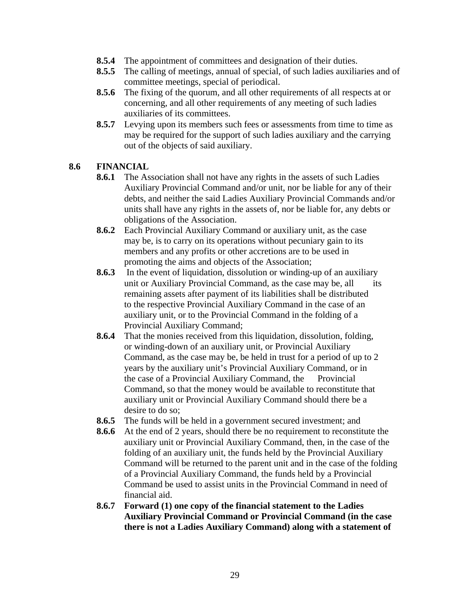- **8.5.4** The appointment of committees and designation of their duties.
- **8.5.5** The calling of meetings, annual of special, of such ladies auxiliaries and of committee meetings, special of periodical.
- **8.5.6** The fixing of the quorum, and all other requirements of all respects at or concerning, and all other requirements of any meeting of such ladies auxiliaries of its committees.
- **8.5.7** Levying upon its members such fees or assessments from time to time as may be required for the support of such ladies auxiliary and the carrying out of the objects of said auxiliary.

#### **8.6 FINANCIAL**

- **8.6.1** The Association shall not have any rights in the assets of such Ladies Auxiliary Provincial Command and/or unit, nor be liable for any of their debts, and neither the said Ladies Auxiliary Provincial Commands and/or units shall have any rights in the assets of, nor be liable for, any debts or obligations of the Association.
- **8.6.2** Each Provincial Auxiliary Command or auxiliary unit, as the case may be, is to carry on its operations without pecuniary gain to its members and any profits or other accretions are to be used in promoting the aims and objects of the Association;
- **8.6.3** In the event of liquidation, dissolution or winding-up of an auxiliary unit or Auxiliary Provincial Command, as the case may be, all its remaining assets after payment of its liabilities shall be distributed to the respective Provincial Auxiliary Command in the case of an auxiliary unit, or to the Provincial Command in the folding of a Provincial Auxiliary Command;
- **8.6.4** That the monies received from this liquidation, dissolution, folding, or winding-down of an auxiliary unit, or Provincial Auxiliary Command, as the case may be, be held in trust for a period of up to 2 years by the auxiliary unit's Provincial Auxiliary Command, or in the case of a Provincial Auxiliary Command, the Provincial Command, so that the money would be available to reconstitute that auxiliary unit or Provincial Auxiliary Command should there be a desire to do so;
- **8.6.5** The funds will be held in a government secured investment; and
- **8.6.6** At the end of 2 years, should there be no requirement to reconstitute the auxiliary unit or Provincial Auxiliary Command, then, in the case of the folding of an auxiliary unit, the funds held by the Provincial Auxiliary Command will be returned to the parent unit and in the case of the folding of a Provincial Auxiliary Command, the funds held by a Provincial Command be used to assist units in the Provincial Command in need of financial aid.
- **8.6.7 Forward (1) one copy of the financial statement to the Ladies Auxiliary Provincial Command or Provincial Command (in the case there is not a Ladies Auxiliary Command) along with a statement of**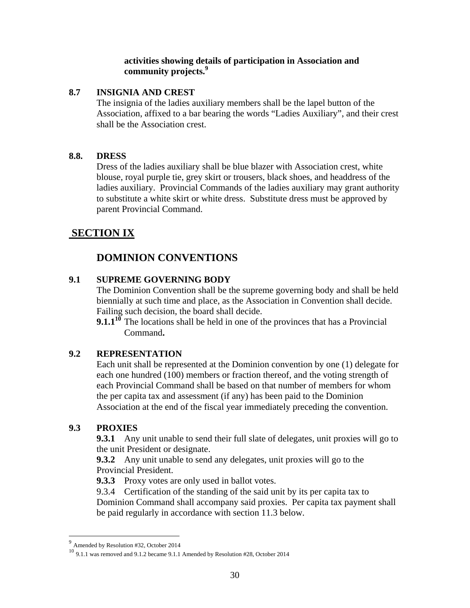#### **activities showing details of participation in Association and community projects.<sup>9</sup>**

#### **8.7 INSIGNIA AND CREST**

The insignia of the ladies auxiliary members shall be the lapel button of the Association, affixed to a bar bearing the words "Ladies Auxiliary", and their crest shall be the Association crest.

#### **8.8. DRESS**

Dress of the ladies auxiliary shall be blue blazer with Association crest, white blouse, royal purple tie, grey skirt or trousers, black shoes, and headdress of the ladies auxiliary. Provincial Commands of the ladies auxiliary may grant authority to substitute a white skirt or white dress. Substitute dress must be approved by parent Provincial Command.

### **SECTION IX**

# **DOMINION CONVENTIONS**

#### **9.1 SUPREME GOVERNING BODY**

The Dominion Convention shall be the supreme governing body and shall be held biennially at such time and place, as the Association in Convention shall decide. Failing such decision, the board shall decide.

**9.1.1<sup>10</sup>** The locations shall be held in one of the provinces that has a Provincial Command**.**

#### **9.2 REPRESENTATION**

Each unit shall be represented at the Dominion convention by one (1) delegate for each one hundred (100) members or fraction thereof, and the voting strength of each Provincial Command shall be based on that number of members for whom the per capita tax and assessment (if any) has been paid to the Dominion Association at the end of the fiscal year immediately preceding the convention.

#### **9.3 PROXIES**

 $\overline{a}$ 

**9.3.1** Any unit unable to send their full slate of delegates, unit proxies will go to the unit President or designate.

**9.3.2** Any unit unable to send any delegates, unit proxies will go to the Provincial President.

 **9.3.3** Proxy votes are only used in ballot votes.

9.3.4 Certification of the standing of the said unit by its per capita tax to Dominion Command shall accompany said proxies. Per capita tax payment shall be paid regularly in accordance with section 11.3 below.

<sup>9</sup> Amended by Resolution #32, October 2014

<sup>10</sup> 9.1.1 was removed and 9.1.2 became 9.1.1 Amended by Resolution #28, October 2014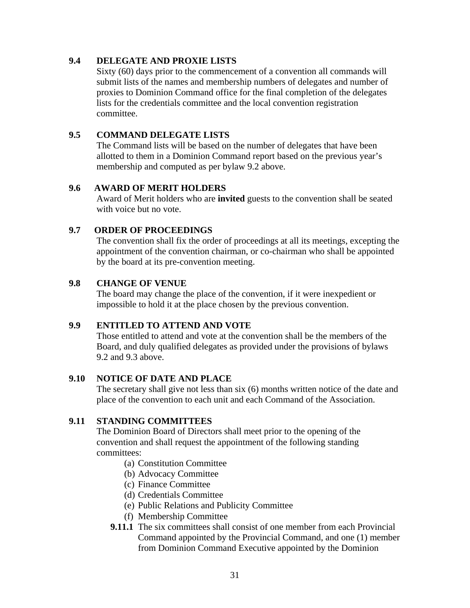#### **9.4 DELEGATE AND PROXIE LISTS**

Sixty (60) days prior to the commencement of a convention all commands will submit lists of the names and membership numbers of delegates and number of proxies to Dominion Command office for the final completion of the delegates lists for the credentials committee and the local convention registration committee.

#### **9.5 COMMAND DELEGATE LISTS**

The Command lists will be based on the number of delegates that have been allotted to them in a Dominion Command report based on the previous year's membership and computed as per bylaw 9.2 above.

#### **9.6 AWARD OF MERIT HOLDERS**

Award of Merit holders who are **invited** guests to the convention shall be seated with voice but no vote.

#### **9.7 ORDER OF PROCEEDINGS**

The convention shall fix the order of proceedings at all its meetings, excepting the appointment of the convention chairman, or co-chairman who shall be appointed by the board at its pre-convention meeting.

#### **9.8 CHANGE OF VENUE**

The board may change the place of the convention, if it were inexpedient or impossible to hold it at the place chosen by the previous convention.

#### **9.9 ENTITLED TO ATTEND AND VOTE**

Those entitled to attend and vote at the convention shall be the members of the Board, and duly qualified delegates as provided under the provisions of bylaws 9.2 and 9.3 above.

#### **9.10 NOTICE OF DATE AND PLACE**

The secretary shall give not less than six (6) months written notice of the date and place of the convention to each unit and each Command of the Association.

#### **9.11 STANDING COMMITTEES**

The Dominion Board of Directors shall meet prior to the opening of the convention and shall request the appointment of the following standing committees:

- (a) Constitution Committee
- (b) Advocacy Committee
- (c) Finance Committee
- (d) Credentials Committee
- (e) Public Relations and Publicity Committee
- (f) Membership Committee
- **9.11.1** The six committees shall consist of one member from each Provincial Command appointed by the Provincial Command, and one (1) member from Dominion Command Executive appointed by the Dominion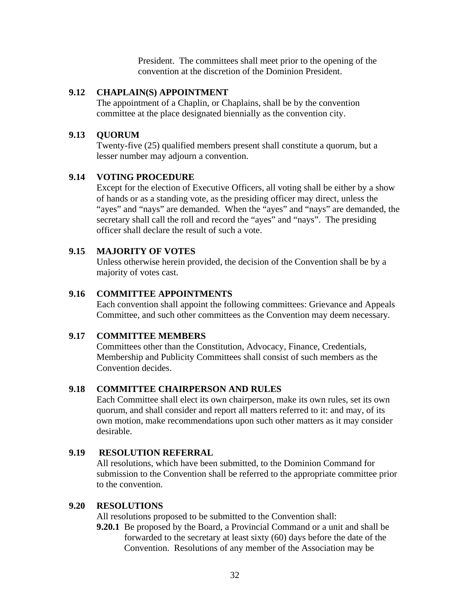President. The committees shall meet prior to the opening of the convention at the discretion of the Dominion President.

#### **9.12 CHAPLAIN(S) APPOINTMENT**

The appointment of a Chaplin, or Chaplains, shall be by the convention committee at the place designated biennially as the convention city.

#### **9.13 QUORUM**

Twenty-five (25) qualified members present shall constitute a quorum, but a lesser number may adjourn a convention.

#### **9.14 VOTING PROCEDURE**

Except for the election of Executive Officers, all voting shall be either by a show of hands or as a standing vote, as the presiding officer may direct, unless the "ayes" and "nays" are demanded. When the "ayes" and "nays" are demanded, the secretary shall call the roll and record the "ayes" and "nays". The presiding officer shall declare the result of such a vote.

#### **9.15 MAJORITY OF VOTES**

Unless otherwise herein provided, the decision of the Convention shall be by a majority of votes cast.

#### **9.16 COMMITTEE APPOINTMENTS**

Each convention shall appoint the following committees: Grievance and Appeals Committee, and such other committees as the Convention may deem necessary*.* 

#### **9.17 COMMITTEE MEMBERS**

Committees other than the Constitution, Advocacy, Finance, Credentials, Membership and Publicity Committees shall consist of such members as the Convention decides.

#### **9.18 COMMITTEE CHAIRPERSON AND RULES**

Each Committee shall elect its own chairperson, make its own rules, set its own quorum, and shall consider and report all matters referred to it: and may, of its own motion, make recommendations upon such other matters as it may consider desirable.

#### **9.19 RESOLUTION REFERRAL**

All resolutions, which have been submitted, to the Dominion Command for submission to the Convention shall be referred to the appropriate committee prior to the convention.

#### **9.20 RESOLUTIONS**

All resolutions proposed to be submitted to the Convention shall:

**9.20.1** Be proposed by the Board, a Provincial Command or a unit and shall be forwarded to the secretary at least sixty (60) days before the date of the Convention. Resolutions of any member of the Association may be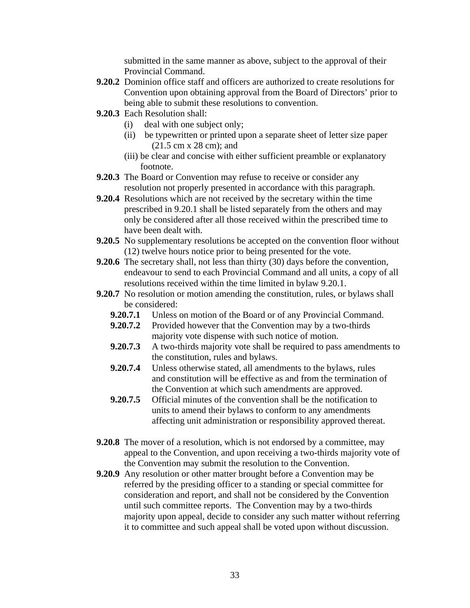submitted in the same manner as above, subject to the approval of their Provincial Command.

- **9.20.2** Dominion office staff and officers are authorized to create resolutions for Convention upon obtaining approval from the Board of Directors' prior to being able to submit these resolutions to convention.
- **9.20.3** Each Resolution shall:
	- (i) deal with one subject only;
	- (ii) be typewritten or printed upon a separate sheet of letter size paper (21.5 cm x 28 cm); and
	- (iii) be clear and concise with either sufficient preamble or explanatory footnote.
- **9.20.3** The Board or Convention may refuse to receive or consider any resolution not properly presented in accordance with this paragraph.
- **9.20.4** Resolutions which are not received by the secretary within the time prescribed in 9.20.1 shall be listed separately from the others and may only be considered after all those received within the prescribed time to have been dealt with.
- **9.20.5** No supplementary resolutions be accepted on the convention floor without (12) twelve hours notice prior to being presented for the vote.
- **9.20.6** The secretary shall, not less than thirty (30) days before the convention, endeavour to send to each Provincial Command and all units, a copy of all resolutions received within the time limited in bylaw 9.20.1.
- **9.20.7** No resolution or motion amending the constitution, rules, or bylaws shall be considered:
	- **9.20.7.1** Unless on motion of the Board or of any Provincial Command.
	- **9.20.7.2** Provided however that the Convention may by a two-thirds majority vote dispense with such notice of motion.
	- **9.20.7.3** A two-thirds majority vote shall be required to pass amendments to the constitution, rules and bylaws.
	- **9.20.7.4** Unless otherwise stated, all amendments to the bylaws, rules and constitution will be effective as and from the termination of the Convention at which such amendments are approved.
	- **9.20.7.5** Official minutes of the convention shall be the notification to units to amend their bylaws to conform to any amendments affecting unit administration or responsibility approved thereat.
- **9.20.8** The mover of a resolution, which is not endorsed by a committee, may appeal to the Convention, and upon receiving a two-thirds majority vote of the Convention may submit the resolution to the Convention.
- **9.20.9** Any resolution or other matter brought before a Convention may be referred by the presiding officer to a standing or special committee for consideration and report, and shall not be considered by the Convention until such committee reports. The Convention may by a two-thirds majority upon appeal, decide to consider any such matter without referring it to committee and such appeal shall be voted upon without discussion.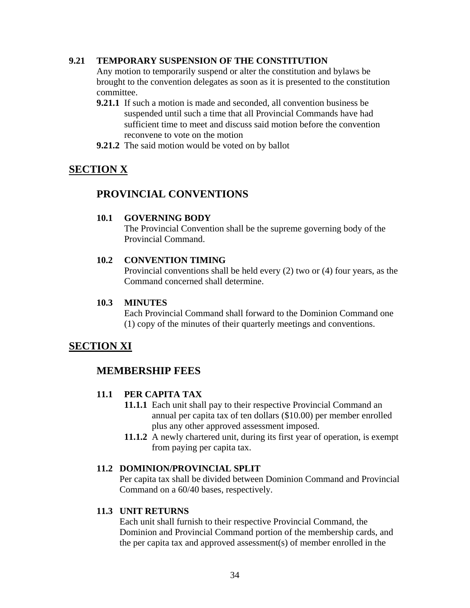#### **9.21 TEMPORARY SUSPENSION OF THE CONSTITUTION**

Any motion to temporarily suspend or alter the constitution and bylaws be brought to the convention delegates as soon as it is presented to the constitution committee.

- **9.21.1** If such a motion is made and seconded, all convention business be suspended until such a time that all Provincial Commands have had sufficient time to meet and discuss said motion before the convention reconvene to vote on the motion
- **9.21.2** The said motion would be voted on by ballot

### **SECTION X**

# **PROVINCIAL CONVENTIONS**

#### **10.1 GOVERNING BODY**

The Provincial Convention shall be the supreme governing body of the Provincial Command.

#### **10.2 CONVENTION TIMING**

Provincial conventions shall be held every (2) two or (4) four years, as the Command concerned shall determine.

#### **10.3 MINUTES**

Each Provincial Command shall forward to the Dominion Command one (1) copy of the minutes of their quarterly meetings and conventions.

#### **SECTION XI**

### **MEMBERSHIP FEES**

#### **11.1 PER CAPITA TAX**

- **11.1.1** Each unit shall pay to their respective Provincial Command an annual per capita tax of ten dollars (\$10.00) per member enrolled plus any other approved assessment imposed.
- **11.1.2** A newly chartered unit, during its first year of operation, is exempt from paying per capita tax.

#### **11.2 DOMINION/PROVINCIAL SPLIT**

Per capita tax shall be divided between Dominion Command and Provincial Command on a 60/40 bases, respectively.

#### **11.3 UNIT RETURNS**

Each unit shall furnish to their respective Provincial Command, the Dominion and Provincial Command portion of the membership cards, and the per capita tax and approved assessment(s) of member enrolled in the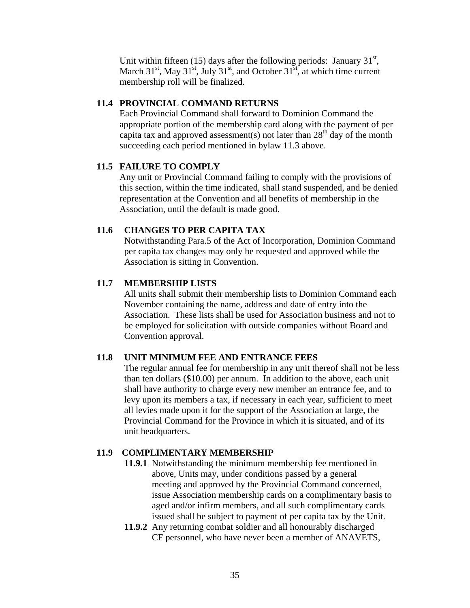Unit within fifteen  $(15)$  days after the following periods: January  $31<sup>st</sup>$ , March  $31<sup>st</sup>$ , May  $31<sup>st</sup>$ , July  $31<sup>st</sup>$ , and October  $31<sup>st</sup>$ , at which time current membership roll will be finalized.

#### **11.4 PROVINCIAL COMMAND RETURNS**

Each Provincial Command shall forward to Dominion Command the appropriate portion of the membership card along with the payment of per capita tax and approved assessment(s) not later than  $28<sup>th</sup>$  day of the month succeeding each period mentioned in bylaw 11.3 above.

#### **11.5 FAILURE TO COMPLY**

Any unit or Provincial Command failing to comply with the provisions of this section, within the time indicated, shall stand suspended, and be denied representation at the Convention and all benefits of membership in the Association, until the default is made good.

#### **11.6 CHANGES TO PER CAPITA TAX**

Notwithstanding Para.5 of the Act of Incorporation, Dominion Command per capita tax changes may only be requested and approved while the Association is sitting in Convention.

#### **11.7 MEMBERSHIP LISTS**

All units shall submit their membership lists to Dominion Command each November containing the name, address and date of entry into the Association. These lists shall be used for Association business and not to be employed for solicitation with outside companies without Board and Convention approval.

#### **11.8 UNIT MINIMUM FEE AND ENTRANCE FEES**

The regular annual fee for membership in any unit thereof shall not be less than ten dollars (\$10.00) per annum. In addition to the above, each unit shall have authority to charge every new member an entrance fee, and to levy upon its members a tax, if necessary in each year, sufficient to meet all levies made upon it for the support of the Association at large, the Provincial Command for the Province in which it is situated, and of its unit headquarters.

#### **11.9 COMPLIMENTARY MEMBERSHIP**

- **11.9.1** Notwithstanding the minimum membership fee mentioned in above, Units may, under conditions passed by a general meeting and approved by the Provincial Command concerned, issue Association membership cards on a complimentary basis to aged and/or infirm members, and all such complimentary cards issued shall be subject to payment of per capita tax by the Unit.
- **11.9.2** Any returning combat soldier and all honourably discharged CF personnel, who have never been a member of ANAVETS,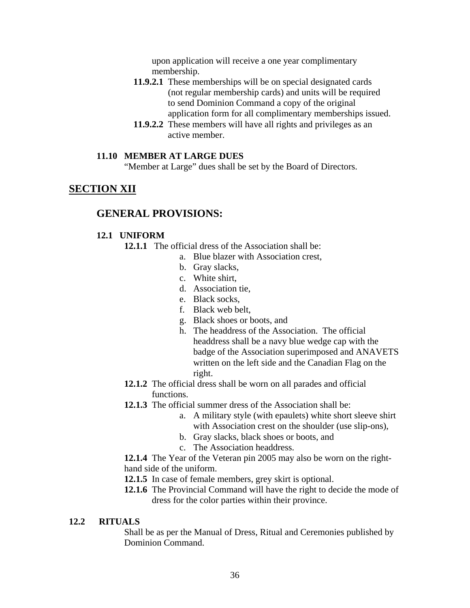upon application will receive a one year complimentary membership.

- **11.9.2.1** These memberships will be on special designated cards (not regular membership cards) and units will be required to send Dominion Command a copy of the original application form for all complimentary memberships issued.
- **11.9.2.2** These members will have all rights and privileges as an active member.

#### **11.10 MEMBER AT LARGE DUES**

"Member at Large" dues shall be set by the Board of Directors.

#### **SECTION XII**

#### **GENERAL PROVISIONS:**

#### **12.1 UNIFORM**

**12.1.1** The official dress of the Association shall be:

- a. Blue blazer with Association crest,
- b. Gray slacks,
- c. White shirt,
- d. Association tie,
- e. Black socks,
- f. Black web belt,
- g. Black shoes or boots, and
- h. The headdress of the Association. The official headdress shall be a navy blue wedge cap with the badge of the Association superimposed and ANAVETS written on the left side and the Canadian Flag on the right.
- **12.1.2** The official dress shall be worn on all parades and official functions.
- **12.1.3** The official summer dress of the Association shall be:
	- a. A military style (with epaulets) white short sleeve shirt with Association crest on the shoulder (use slip-ons),
	- b. Gray slacks, black shoes or boots, and
	- c. The Association headdress.

**12.1.4** The Year of the Veteran pin 2005 may also be worn on the righthand side of the uniform.

- **12.1.5** In case of female members, grey skirt is optional.
- **12.1.6** The Provincial Command will have the right to decide the mode of dress for the color parties within their province.

#### **12.2 RITUALS**

Shall be as per the Manual of Dress, Ritual and Ceremonies published by Dominion Command.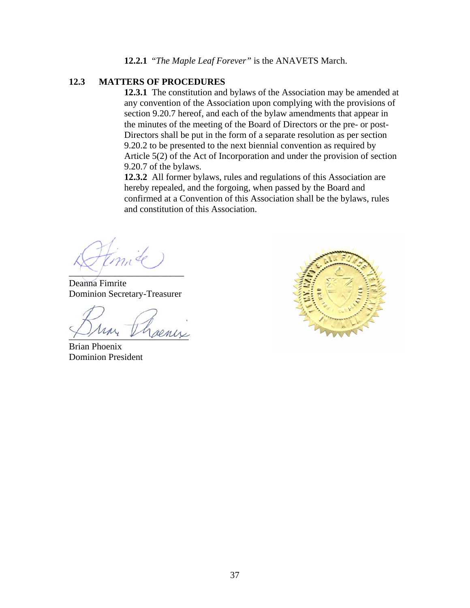**12.2.1** "*The Maple Leaf Forever"* is the ANAVETS March.

#### **12.3 MATTERS OF PROCEDURES**

**12.3.1** The constitution and bylaws of the Association may be amended at any convention of the Association upon complying with the provisions of section 9.20.7 hereof, and each of the bylaw amendments that appear in the minutes of the meeting of the Board of Directors or the pre- or post-Directors shall be put in the form of a separate resolution as per section 9.20.2 to be presented to the next biennial convention as required by Article 5(2) of the Act of Incorporation and under the provision of section 9.20.7 of the bylaws.

**12.3.2** All former bylaws, rules and regulations of this Association are hereby repealed, and the forgoing, when passed by the Board and confirmed at a Convention of this Association shall be the bylaws, rules and constitution of this Association.

 $\frac{1}{2}$ 

Deanna Fimrite Dominion Secretary-Treasurer

 $\rightarrow$   $\rightarrow$   $\rightarrow$   $\rightarrow$   $\rightarrow$   $\rightarrow$ 

Brian Phoenix Dominion President

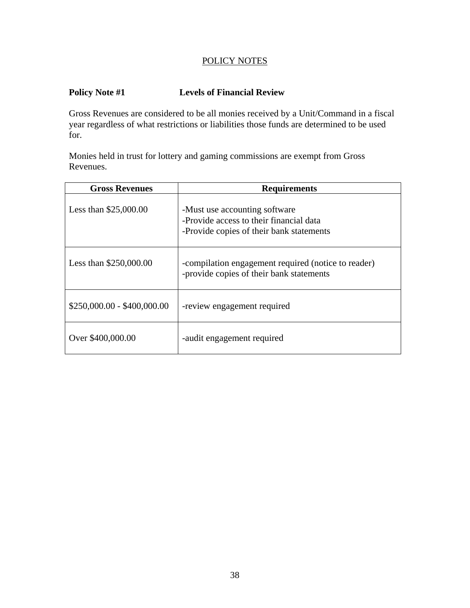#### POLICY NOTES

#### **Policy Note #1 Levels of Financial Review**

Gross Revenues are considered to be all monies received by a Unit/Command in a fiscal year regardless of what restrictions or liabilities those funds are determined to be used for.

Monies held in trust for lottery and gaming commissions are exempt from Gross Revenues.

| <b>Gross Revenues</b>       | <b>Requirements</b>                                                                                                  |
|-----------------------------|----------------------------------------------------------------------------------------------------------------------|
| Less than $$25,000.00$      | -Must use accounting software<br>-Provide access to their financial data<br>-Provide copies of their bank statements |
| Less than $$250,000.00$     | -compilation engagement required (notice to reader)<br>-provide copies of their bank statements                      |
| $$250,000.00 - $400,000.00$ | -review engagement required                                                                                          |
| Over \$400,000.00           | -audit engagement required                                                                                           |